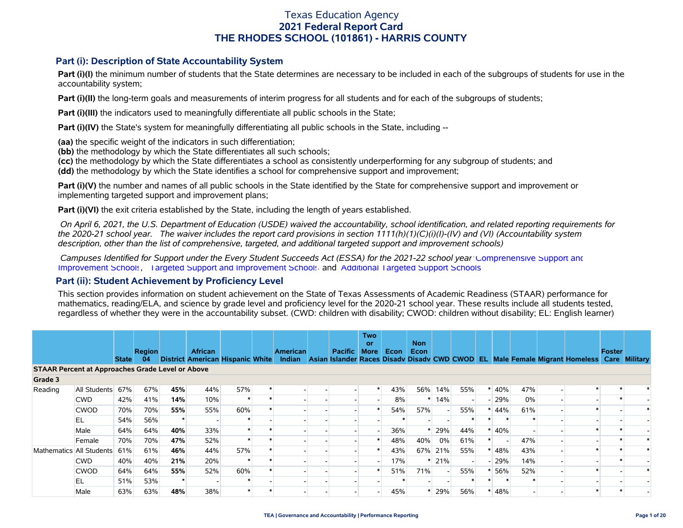### **Part (i): Description of State Accountability System**

**Part (i)(I)** the minimum number of students that the State determines are necessary to be included in each of the subgroups of students for use in the accountability system;

**Part (i)(II)** the long-term goals and measurements of interim progress for all students and for each of the subgroups of students;

**Part (i)(III)** the indicators used to meaningfully differentiate all public schools in the State;

**Part (i)(IV)** the State's system for meaningfully differentiating all public schools in the State, including --

**(aa)** the specific weight of the indicators in such differentiation;

**(bb)** the methodology by which the State differentiates all such schools;

**(cc)** the methodology by which the State differentiates a school as consistently underperforming for any subgroup of students; and

**(dd)** the methodology by which the State identifies a school for comprehensive support and improvement;

**Part (i)(V)** the number and names of all public schools in the State identified by the State for comprehensive support and improvement or implementing targeted support and improvement plans;

**Part (i)(VI)** the exit criteria established by the State, including the length of years established.

 *On April 6, 2021, the U.S. Department of Education (USDE) waived the accountability, school identification, and related reporting requirements for the 2020-21 school year. The waiver includes the report card provisions in section 1111(h)(1)(C)(i)(I)-(IV) and (VI) (Accountability system description, other than the list of comprehensive, targeted, and additional targeted support and improvement schools)* 

 *Campuses Identified for Support under the Every Student Succeeds Act (ESSA) for the 2021-22 school year:* [Comprehensive Support and](https://tea.texas.gov/sites/default/files/comprehensive_support_2021.xlsx) [Improvement Schools](https://tea.texas.gov/sites/default/files/comprehensive_support_2021.xlsx), [Targeted Support and Improvement Schools](https://tea.texas.gov/sites/default/files/targeted_support_2021.xlsx) and [Additional Targeted Support Schools.](https://tea.texas.gov/sites/default/files/additional_targeted_support_2021.xlsx)

### **Part (ii): Student Achievement by Proficiency Level**

This section provides information on student achievement on the State of Texas Assessments of Academic Readiness (STAAR) performance for mathematics, reading/ELA, and science by grade level and proficiency level for the 2020-21 school year. These results include all students tested, regardless of whether they were in the accountability subset. (CWD: children with disability; CWOD: children without disability; EL: English learner)

|                                                         |              |              | <b>Region</b> |         | <b>African</b> |     | <b>American</b> | Pacific | <b>Two</b><br><b>or</b><br><b>More</b> | Econ | <b>Non</b><br>Econ |         |     |         |     |                                                                                                                                   | Foster |  |
|---------------------------------------------------------|--------------|--------------|---------------|---------|----------------|-----|-----------------|---------|----------------------------------------|------|--------------------|---------|-----|---------|-----|-----------------------------------------------------------------------------------------------------------------------------------|--------|--|
|                                                         |              | <b>State</b> | 04            |         |                |     |                 |         |                                        |      |                    |         |     |         |     | District American Hispanic White Indian Asian Islander Races Disady Disady CWD CWOD EL Male Female Migrant Homeless Care Military |        |  |
| <b>STAAR Percent at Approaches Grade Level or Above</b> |              |              |               |         |                |     |                 |         |                                        |      |                    |         |     |         |     |                                                                                                                                   |        |  |
| Grade 3                                                 |              |              |               |         |                |     |                 |         |                                        |      |                    |         |     |         |     |                                                                                                                                   |        |  |
| Reading                                                 | All Students | 67%          | 67%           | 45%     | 44%            | 57% |                 |         |                                        | 43%  |                    | 56% 14% | 55% | 40%     | 47% |                                                                                                                                   |        |  |
|                                                         | <b>CWD</b>   | 42%          | 41%           | 14%     | 10%            |     |                 |         |                                        | 8%   |                    | 14%     |     | $-29%$  | 0%  |                                                                                                                                   |        |  |
|                                                         | <b>CWOD</b>  | 70%          | 70%           | 55%     | 55%            | 60% |                 |         |                                        | 54%  | 57%                |         | 55% | 44%     | 61% |                                                                                                                                   |        |  |
|                                                         | EL           | 54%          | 56%           | $\star$ |                |     |                 |         |                                        |      |                    |         |     |         |     |                                                                                                                                   |        |  |
|                                                         | Male         | 64%          | 64%           | 40%     | 33%            |     |                 |         |                                        | 36%  | *                  | 29%     | 44% | 40%     |     |                                                                                                                                   |        |  |
|                                                         | Female       | 70%          | 70%           | 47%     | 52%            |     |                 |         |                                        | 48%  | 40%                | 0%      | 61% |         | 47% |                                                                                                                                   |        |  |
| Mathematics All Students                                |              | 61%          | 61%           | 46%     | 44%            | 57% |                 |         |                                        | 43%  |                    | 67% 21% | 55% | $* 48%$ | 43% |                                                                                                                                   |        |  |
|                                                         | <b>CWD</b>   | 40%          | 40%           | 21%     | 20%            |     |                 |         |                                        | 17%  |                    | $*$ 21% |     | $-29%$  | 14% |                                                                                                                                   |        |  |
|                                                         | <b>CWOD</b>  | 64%          | 64%           | 55%     | 52%            | 60% |                 |         |                                        | 51%  | 71%                |         | 55% | 56%     | 52% |                                                                                                                                   |        |  |
|                                                         | EL           | 51%          | 53%           | $\star$ |                |     |                 |         |                                        |      |                    |         |     |         |     |                                                                                                                                   |        |  |
|                                                         | Male         | 63%          | 63%           | 48%     | 38%            |     |                 |         |                                        | 45%  |                    | 29%     | 56% | 48%     |     |                                                                                                                                   |        |  |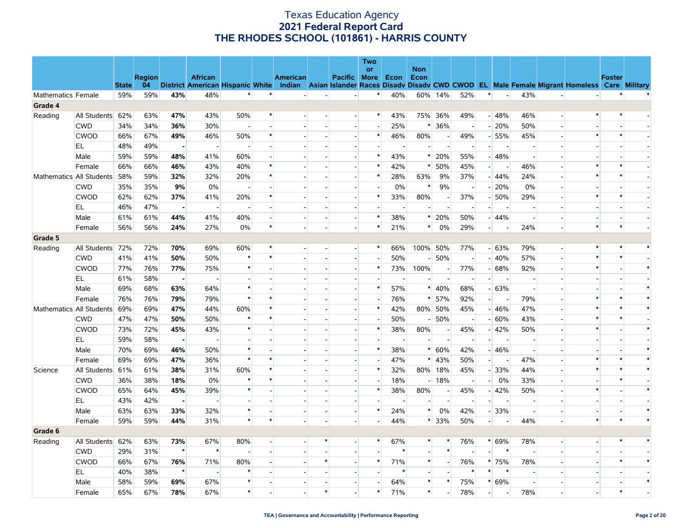|                    |                          |              |               |                |                          |                          |         |                 |                          |                          | Two<br>or |        | <b>Non</b>               |                          |                          |                          |                          |                          |                          |                                                                                                                                   |               |        |
|--------------------|--------------------------|--------------|---------------|----------------|--------------------------|--------------------------|---------|-----------------|--------------------------|--------------------------|-----------|--------|--------------------------|--------------------------|--------------------------|--------------------------|--------------------------|--------------------------|--------------------------|-----------------------------------------------------------------------------------------------------------------------------------|---------------|--------|
|                    |                          |              | <b>Region</b> |                | <b>African</b>           |                          |         | <b>American</b> |                          | Pacific More Econ        |           |        | Econ                     |                          |                          |                          |                          |                          |                          |                                                                                                                                   | <b>Foster</b> |        |
|                    |                          | <b>State</b> | 04            |                |                          |                          |         |                 |                          |                          |           |        |                          |                          |                          |                          |                          |                          |                          | District American Hispanic White Indian Asian Islander Races Disady Disady CWD CWOD EL Male Female Migrant Homeless Care Military |               |        |
| Mathematics Female |                          | 59%          | 59%           | 43%            | 48%                      | $\ast$                   |         |                 |                          | $\sim$                   | $\ast$    | 40%    |                          | 60% 14%                  | 52%                      | $\pmb{\ast}$             | $\sim$                   | 43%                      | $\overline{\phantom{a}}$ | $\overline{a}$                                                                                                                    | $\ast$        |        |
| Grade 4            |                          |              |               |                |                          |                          |         |                 |                          |                          |           |        |                          |                          |                          |                          |                          |                          |                          |                                                                                                                                   |               |        |
| Reading            | All Students             | 62%          | 63%           | 47%            | 43%                      | 50%                      |         |                 |                          | $\sim$                   | $\ast$    | 43%    | 75%                      | 36%                      | 49%                      |                          | $-48%$                   | 46%                      | $\overline{a}$           | $\ast$                                                                                                                            |               |        |
|                    | <b>CWD</b>               | 34%          | 34%           | 36%            | 30%                      |                          |         |                 |                          |                          |           | 25%    | *                        | 36%                      | $\overline{a}$           |                          | $-20%$                   | 50%                      |                          |                                                                                                                                   |               |        |
|                    | <b>CWOD</b>              | 66%          | 67%           | 49%            | 46%                      | 50%                      | $\ast$  |                 |                          |                          | $\ast$    | 46%    | 80%                      | $\sim$                   | 49%                      |                          | $-55%$                   | 45%                      |                          | $\ast$                                                                                                                            | $\ast$        |        |
|                    | EL.                      | 48%          | 49%           |                |                          |                          |         |                 |                          |                          |           |        |                          |                          |                          |                          |                          |                          |                          |                                                                                                                                   |               |        |
|                    | Male                     | 59%          | 59%           | 48%            | 41%                      | 60%                      |         |                 |                          |                          | $\ast$    | 43%    | $\ast$                   | 20%                      | 55%                      |                          | $-48%$                   | $\overline{\phantom{a}}$ |                          |                                                                                                                                   |               |        |
|                    | Female                   | 66%          | 66%           | 46%            | 43%                      | 40%                      |         |                 |                          |                          | $\ast$    | 42%    | $\ast$                   | 50%                      | 45%                      | $\overline{a}$           |                          | 46%                      |                          | $\ast$                                                                                                                            |               |        |
|                    | Mathematics All Students | 58%          | 59%           | 32%            | 32%                      | 20%                      | $\ast$  |                 |                          |                          | $\ast$    | 28%    | 63%                      | 9%                       | 37%                      |                          | $-44%$                   | 24%                      |                          | $\ast$                                                                                                                            |               |        |
|                    | <b>CWD</b>               | 35%          | 35%           | 9%             | 0%                       | $\overline{\phantom{a}}$ |         |                 |                          |                          |           | 0%     | $\ast$                   | 9%                       | $\blacksquare$           |                          | $-20%$                   | 0%                       |                          |                                                                                                                                   |               |        |
|                    | <b>CWOD</b>              | 62%          | 62%           | 37%            | 41%                      | 20%                      |         |                 |                          | $\blacksquare$           |           | 33%    | 80%                      | $\overline{\phantom{a}}$ | 37%                      |                          | $-50%$                   | 29%                      |                          | *                                                                                                                                 |               |        |
|                    | EL                       | 46%          | 47%           | $\overline{a}$ | $\overline{\phantom{a}}$ | $\overline{a}$           |         |                 |                          |                          |           |        | $\overline{\phantom{a}}$ |                          |                          | нH                       |                          | $\overline{a}$           |                          |                                                                                                                                   |               |        |
|                    | Male                     | 61%          | 61%           | 44%            | 41%                      | 40%                      |         |                 |                          | $\sim$                   |           | 38%    | $\ast$                   | 20%                      | 50%                      |                          | $-44%$                   | $\sim$                   |                          |                                                                                                                                   |               |        |
|                    | Female                   | 56%          | 56%           | 24%            | 27%                      | 0%                       | $\ast$  |                 |                          | $\sim$                   | $\ast$    | 21%    | $\ast$                   | 0%                       | 29%                      | $\overline{a}$           |                          | 24%                      |                          | $\ast$                                                                                                                            | $\ast$        |        |
| Grade 5            |                          |              |               |                |                          |                          |         |                 |                          |                          |           |        |                          |                          |                          |                          |                          |                          |                          |                                                                                                                                   |               |        |
| Reading            | All Students             | 72%          | 72%           | 70%            | 69%                      | 60%                      | $\ast$  |                 | $\overline{\phantom{a}}$ | $\overline{a}$           | ∗         | 66%    | 100%                     | 50%                      | 77%                      |                          | $-63%$                   | 79%                      | $\blacksquare$           | $\ast$                                                                                                                            |               | $\ast$ |
|                    | <b>CWD</b>               | 41%          | 41%           | 50%            | 50%                      | $\ast$                   | $\ast$  |                 |                          | $\overline{a}$           |           | 50%    |                          | 50%                      | $\overline{a}$           |                          | $-40%$                   | 57%                      |                          | $\ast$                                                                                                                            | $\ast$        |        |
|                    | <b>CWOD</b>              | 77%          | 76%           | 77%            | 75%                      | $\ast$                   |         |                 |                          |                          | *         | 73%    | 100%                     | $\overline{a}$           | 77%                      |                          | $-68%$                   | 92%                      |                          | $\ast$                                                                                                                            |               | $\ast$ |
|                    | EL.                      | 61%          | 58%           | $\blacksquare$ |                          |                          |         |                 |                          |                          |           |        | $\overline{\phantom{a}}$ | $\overline{a}$           | $\overline{a}$           | $\overline{a}$           | $\overline{\phantom{a}}$ | $\overline{a}$           |                          |                                                                                                                                   |               |        |
|                    | Male                     | 69%          | 68%           | 63%            | 64%                      | $\ast$                   |         |                 |                          | $\blacksquare$           |           | 57%    |                          | $* 40%$                  | 68%                      |                          | $-63%$                   | $\overline{\phantom{a}}$ |                          |                                                                                                                                   |               |        |
|                    | Female                   | 76%          | 76%           | 79%            | 79%                      | $\ast$                   | $\star$ |                 |                          | $\overline{a}$           |           | 76%    |                          | * 57%                    | 92%                      | $\Box$                   | $\sim$                   | 79%                      |                          | $\ast$                                                                                                                            |               |        |
|                    | Mathematics All Students | 69%          | 69%           | 47%            | 44%                      | 60%                      |         |                 |                          | $\overline{\phantom{a}}$ |           | 42%    | 80%                      | 50%                      | 45%                      |                          | $-46%$                   | 47%                      |                          | $\ast$                                                                                                                            |               | $\ast$ |
|                    | <b>CWD</b>               | 47%          | 47%           | 50%            | 50%                      | $\ast$                   | $\ast$  |                 |                          |                          |           | 50%    |                          | 50%                      | $\sim$                   |                          | $-60%$                   | 43%                      |                          | $\ast$                                                                                                                            | $\ast$        |        |
|                    | <b>CWOD</b>              | 73%          | 72%           | 45%            | 43%                      | $\ast$                   |         |                 |                          |                          | $\ast$    | 38%    | 80%                      |                          | 45%                      |                          | $-42%$                   | 50%                      |                          | $\ast$                                                                                                                            |               | $\ast$ |
|                    | EL.                      | 59%          | 58%           | $\blacksquare$ |                          |                          |         |                 |                          | $\blacksquare$           |           |        | $\overline{\phantom{a}}$ | $\overline{a}$           | $\overline{\phantom{a}}$ | $\overline{a}$           | $\overline{\phantom{a}}$ | $\overline{\phantom{a}}$ |                          |                                                                                                                                   |               |        |
|                    | Male                     | 70%          | 69%           | 46%            | 50%                      | $\ast$                   |         |                 |                          |                          | $\ast$    | 38%    | $\ast$                   | 60%                      | 42%                      |                          | $-46%$                   | $\overline{\phantom{a}}$ |                          |                                                                                                                                   |               | $\ast$ |
|                    | Female                   | 69%          | 69%           | 47%            | 36%                      | $\ast$                   |         |                 |                          |                          |           | 47%    |                          | $* 43%$                  | 50%                      | $-$                      |                          | 47%                      |                          |                                                                                                                                   |               |        |
| Science            | All Students             | 61%          | 61%           | 38%            | 31%                      | 60%                      |         |                 |                          |                          | $\ast$    | 32%    |                          | 80% 18%                  | 45%                      |                          | $-33%$                   | 44%                      |                          | $\ast$                                                                                                                            |               |        |
|                    | <b>CWD</b>               | 36%          | 38%           | 18%            | 0%                       | $\ast$                   |         |                 |                          |                          |           | 18%    |                          | $-18%$                   | $\sim$                   | $\blacksquare$           | 0%                       | 33%                      |                          |                                                                                                                                   |               |        |
|                    | <b>CWOD</b>              | 65%          | 64%           | 45%            | 39%                      | $\ast$                   |         |                 |                          |                          |           | 38%    | 80%                      | $\sim$                   | 45%                      |                          | $-42%$                   | 50%                      |                          | $\ast$                                                                                                                            |               | $\ast$ |
|                    | EL                       | 43%          | 42%           |                |                          |                          |         |                 |                          |                          |           |        |                          |                          |                          |                          | $\overline{\phantom{0}}$ | $\overline{\phantom{0}}$ |                          |                                                                                                                                   |               |        |
|                    | Male                     | 63%          | 63%           | 33%            | 32%                      | $\ast$                   |         |                 |                          | $\sim$                   | $\ast$    | 24%    | $\ast$                   | 0%                       | 42%                      |                          | $-33%$                   | $\overline{a}$           |                          |                                                                                                                                   |               | $\ast$ |
|                    | Female                   | 59%          | 59%           | 44%            | 31%                      | $\ast$                   | $\ast$  |                 |                          |                          |           | 44%    |                          | $* 33%$                  | 50%                      | $-$                      |                          | 44%                      |                          | $\ast$                                                                                                                            | $\ast$        | $\ast$ |
| Grade 6            |                          |              |               |                |                          |                          |         |                 |                          |                          |           |        |                          |                          |                          |                          |                          |                          |                          |                                                                                                                                   |               |        |
| Reading            | All Students             | 62%          | 63%           | 73%            | 67%                      | 80%                      |         |                 | $\ast$                   |                          |           | 67%    | $\ast$                   | $\ast$                   | 76%                      |                          | * 69%                    | 78%                      |                          |                                                                                                                                   |               | $\ast$ |
|                    | <b>CWD</b>               | 29%          | 31%           | $\star$        | $\ast$                   |                          |         |                 |                          |                          |           | $\ast$ |                          | $\ast$                   |                          | $\overline{\phantom{a}}$ | $\ast$                   | $\overline{\phantom{a}}$ |                          |                                                                                                                                   |               |        |
|                    | <b>CWOD</b>              | 66%          | 67%           | 76%            | 71%                      | 80%                      |         |                 | $\ast$                   | $\overline{a}$           | $\ast$    | 71%    | $\ast$                   |                          | 76%                      |                          | * 75%                    | 78%                      |                          |                                                                                                                                   |               |        |
|                    | EL.                      | 40%          | 38%           | $\star$        |                          | $\ast$                   |         |                 |                          |                          |           |        | $\overline{\phantom{a}}$ |                          |                          | $\ast$                   |                          | $\overline{\phantom{a}}$ |                          |                                                                                                                                   |               |        |
|                    | Male                     | 58%          | 59%           | 69%            | 67%                      | $\ast$                   |         |                 |                          | $\overline{a}$           |           | 64%    | $\ast$                   | $\ast$                   | 75%                      |                          | $* 69%$                  | $\sim$                   |                          |                                                                                                                                   |               | $\ast$ |
|                    | Female                   | 65%          | 67%           | 78%            | 67%                      | $\ast$                   |         |                 | $\ast$                   |                          |           | 71%    | $\ast$                   |                          | 78%                      | $\overline{a}$           |                          | 78%                      |                          |                                                                                                                                   | $\ast$        |        |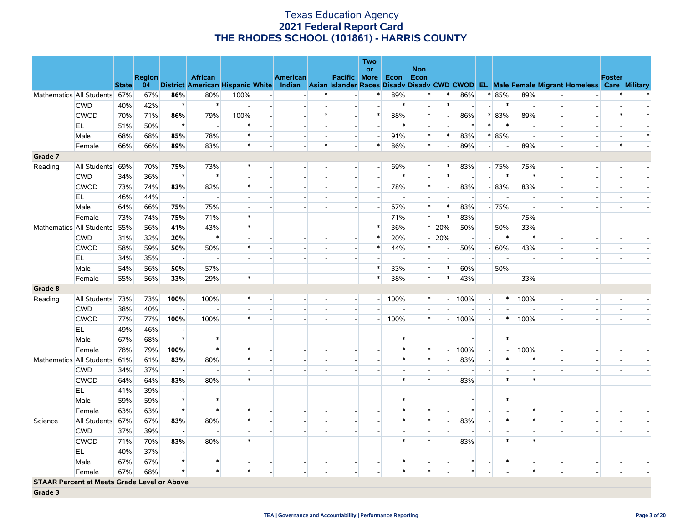|         |                                                    |              |                     |                |                          |                |                          |                          |        |                          | <b>Two</b>               |        |                          |                          |                          |                          |                          |                          |                          |                                                                                                                                   |               |        |
|---------|----------------------------------------------------|--------------|---------------------|----------------|--------------------------|----------------|--------------------------|--------------------------|--------|--------------------------|--------------------------|--------|--------------------------|--------------------------|--------------------------|--------------------------|--------------------------|--------------------------|--------------------------|-----------------------------------------------------------------------------------------------------------------------------------|---------------|--------|
|         |                                                    |              |                     |                |                          |                |                          |                          |        |                          | <b>or</b>                |        | <b>Non</b>               |                          |                          |                          |                          |                          |                          |                                                                                                                                   |               |        |
|         |                                                    | <b>State</b> | <b>Region</b><br>04 |                | <b>African</b>           |                |                          | <b>American</b>          |        | <b>Pacific More Econ</b> |                          |        | Econ                     |                          |                          |                          |                          |                          |                          | District American Hispanic White Indian Asian Islander Races Disadv Disadv CWD CWOD EL Male Female Migrant Homeless Care Military | <b>Foster</b> |        |
|         | Mathematics All Students                           | 67%          | 67%                 | 86%            | 80%                      | 100%           |                          |                          |        |                          | $\ast$                   | 89%    | $\ast$                   | $\ast$                   | 86%                      |                          | * 85%                    | 89%                      |                          |                                                                                                                                   |               |        |
|         | <b>CWD</b>                                         | 40%          | 42%                 | $\star$        | $\ast$                   |                |                          |                          |        |                          |                          | $\ast$ |                          | $\ast$                   |                          | $\overline{\phantom{a}}$ | $\ast$                   | $\overline{\phantom{a}}$ |                          |                                                                                                                                   |               |        |
|         | <b>CWOD</b>                                        | 70%          | 71%                 | 86%            | 79%                      | 100%           | $\overline{\phantom{a}}$ |                          |        | $\overline{\phantom{a}}$ | $\ast$                   | 88%    | $\ast$                   | $\overline{\phantom{a}}$ | 86%                      |                          | * 83%                    | 89%                      |                          | $\sim$                                                                                                                            |               |        |
|         | EL                                                 | 51%          | 50%                 | $\star$        | $\blacksquare$           | $\ast$         |                          |                          |        | $\overline{a}$           |                          | $\ast$ | $\overline{\phantom{a}}$ |                          | $\ast$                   | $\ast$                   | $\ast$                   | $\overline{a}$           |                          |                                                                                                                                   |               |        |
|         | Male                                               | 68%          | 68%                 | 85%            | 78%                      | $\ast$         |                          |                          |        | $\overline{\phantom{a}}$ | $\overline{\phantom{a}}$ | 91%    | $\ast$                   | $\ast$                   | 83%                      |                          | $* 85%$                  | $\blacksquare$           |                          | $\overline{\phantom{a}}$                                                                                                          |               | $\ast$ |
|         | Female                                             | 66%          | 66%                 | 89%            | 83%                      | $\ast$         |                          |                          | $\ast$ | $\overline{a}$           | $\ast$                   | 86%    | $\ast$                   | $\overline{a}$           | 89%                      | $\overline{a}$           | $\overline{\phantom{a}}$ | 89%                      | $\overline{\phantom{a}}$ | $\overline{a}$                                                                                                                    | $\ast$        |        |
| Grade 7 |                                                    |              |                     |                |                          |                |                          |                          |        |                          |                          |        |                          |                          |                          |                          |                          |                          |                          |                                                                                                                                   |               |        |
| Reading | All Students                                       | 69%          | 70%                 | 75%            | 73%                      | $\ast$         |                          | $\blacksquare$           |        | $\overline{\phantom{a}}$ | ш.                       | 69%    | $\ast$                   | $\ast$                   | 83%                      |                          | $-75%$                   | 75%                      | $\sim$                   | $\overline{\phantom{a}}$                                                                                                          |               |        |
|         | <b>CWD</b>                                         | 34%          | 36%                 | $\star$        | $\ast$                   |                |                          |                          |        |                          |                          | $\ast$ |                          | $\ast$                   |                          |                          | $\ast$                   | $\ast$                   |                          |                                                                                                                                   |               |        |
|         | <b>CWOD</b>                                        | 73%          | 74%                 | 83%            | 82%                      | $\ast$         |                          |                          |        | $\overline{\phantom{a}}$ | $\overline{a}$           | 78%    | $\ast$                   | $\blacksquare$           | 83%                      |                          | $-183%$                  | 83%                      |                          | $\overline{\phantom{a}}$                                                                                                          |               |        |
|         | EL.                                                | 46%          | 44%                 | $\blacksquare$ | $\overline{\phantom{a}}$ |                |                          |                          |        |                          |                          |        | $\overline{\phantom{a}}$ |                          |                          |                          | $\overline{a}$           | $\overline{a}$           |                          |                                                                                                                                   |               |        |
|         | Male                                               | 64%          | 66%                 | 75%            | 75%                      |                |                          |                          |        | $\overline{\phantom{a}}$ | $\overline{\phantom{a}}$ | 67%    | $\ast$                   | $\ast$                   | 83%                      |                          | $-75%$                   | $\overline{\phantom{a}}$ |                          | $\overline{\phantom{a}}$                                                                                                          |               |        |
|         | Female                                             | 73%          | 74%                 | 75%            | 71%                      | $\ast$         |                          |                          |        |                          |                          | 71%    | $\ast$                   | $\ast$                   | 83%                      | $\overline{a}$           |                          | 75%                      |                          |                                                                                                                                   |               |        |
|         | Mathematics All Students                           | 55%          | 56%                 | 41%            | 43%                      | ∗              |                          |                          |        | $\blacksquare$           |                          | 36%    | $\ast$                   | 20%                      | 50%                      |                          | $-50%$                   | 33%                      |                          | $\blacksquare$                                                                                                                    |               |        |
|         | <b>CWD</b>                                         | 31%          | 32%                 | 20%            | $\ast$                   |                |                          |                          |        | $\overline{a}$           |                          | 20%    | $\overline{\phantom{a}}$ | 20%                      | $\overline{\phantom{a}}$ | $\overline{a}$           | $\ast$                   | $\ast$                   |                          | $\sim$                                                                                                                            |               |        |
|         | <b>CWOD</b>                                        | 58%          | 59%                 | 50%            | 50%                      | $\ast$         |                          |                          |        | $\blacksquare$           |                          | 44%    | $\ast$                   |                          | 50%                      |                          | $-60%$                   | 43%                      |                          | $\blacksquare$                                                                                                                    |               |        |
|         | EL                                                 | 34%          | 35%                 | $\blacksquare$ | $\blacksquare$           | $\overline{a}$ |                          |                          |        | $\overline{a}$           |                          |        | u.                       | $\overline{a}$           |                          | $\overline{\phantom{a}}$ | $\overline{\phantom{a}}$ | $\overline{\phantom{a}}$ |                          | $\overline{\phantom{a}}$                                                                                                          |               |        |
|         | Male                                               | 54%          | 56%                 | 50%            | 57%                      | $\blacksquare$ |                          | $\overline{\phantom{a}}$ |        | $\overline{\phantom{a}}$ |                          | 33%    | $\ast$                   | $\ast$                   | 60%                      |                          | $-50%$                   | $\overline{\phantom{a}}$ | $\overline{\phantom{a}}$ | $\overline{\phantom{a}}$                                                                                                          |               |        |
|         | Female                                             | 55%          | 56%                 | 33%            | 29%                      | $\ast$         |                          | $\overline{a}$           |        | $\overline{\phantom{a}}$ | $\ast$                   | 38%    | $\ast$                   | $\ast$                   | 43%                      | $\overline{a}$           | $\overline{a}$           | 33%                      | $\overline{\phantom{a}}$ | $\overline{a}$                                                                                                                    |               |        |
| Grade 8 |                                                    |              |                     |                |                          |                |                          |                          |        |                          |                          |        |                          |                          |                          |                          |                          |                          |                          |                                                                                                                                   |               |        |
| Reading | All Students                                       | 73%          | 73%                 | 100%           | 100%                     | $\ast$         |                          |                          |        | $\sim$                   | $\overline{a}$           | 100%   | $\ast$                   | $\overline{\phantom{0}}$ | 100%                     | $\overline{a}$           | $\ast$                   | 100%                     | $\sim$                   | $\blacksquare$                                                                                                                    |               |        |
|         | <b>CWD</b>                                         | 38%          | 40%                 | $\blacksquare$ |                          |                |                          |                          |        |                          |                          |        |                          |                          |                          |                          |                          |                          |                          |                                                                                                                                   |               |        |
|         | <b>CWOD</b>                                        | 77%          | 77%                 | 100%           | 100%                     | $\ast$         |                          |                          |        | $\blacksquare$           | $\overline{\phantom{a}}$ | 100%   | $\ast$                   | - 1                      | 100%                     | $\overline{a}$           | $\ast$                   | 100%                     | $\overline{\phantom{a}}$ | $\overline{\phantom{a}}$                                                                                                          |               |        |
|         | EL                                                 | 49%          | 46%                 |                |                          |                |                          |                          |        |                          |                          |        |                          |                          |                          |                          |                          |                          |                          |                                                                                                                                   |               |        |
|         | Male                                               | 67%          | 68%                 | $\star$        | $\ast$                   |                |                          |                          |        |                          |                          |        |                          |                          | $\ast$                   | $\overline{\phantom{a}}$ | $\ast$                   | $\overline{\phantom{a}}$ | $\overline{\phantom{a}}$ | $\overline{\phantom{a}}$                                                                                                          |               |        |
|         | Female                                             | 78%          | 79%                 | 100%           | $\ast$                   | $\ast$         |                          |                          |        |                          |                          |        | $\ast$                   | $\overline{\phantom{0}}$ | 100%                     | $\overline{\phantom{a}}$ | $\overline{a}$           | 100%                     |                          |                                                                                                                                   |               |        |
|         | Mathematics All Students                           | 61%          | 61%                 | 83%            | 80%                      |                |                          |                          |        |                          |                          |        | $\ast$                   | $\blacksquare$           | 83%                      | $\overline{\phantom{a}}$ | $\ast$                   | $\ast$                   |                          | $\overline{\phantom{a}}$                                                                                                          |               |        |
|         | <b>CWD</b>                                         | 34%          | 37%                 | $\blacksquare$ |                          |                |                          |                          |        |                          |                          |        |                          | $\overline{a}$           |                          |                          |                          |                          |                          | $\overline{a}$                                                                                                                    |               |        |
|         | <b>CWOD</b>                                        | 64%          | 64%                 | 83%            | 80%                      | $\ast$         |                          |                          |        |                          |                          |        | $\ast$                   | $\blacksquare$           | 83%                      |                          |                          | $\ast$                   |                          | $\blacksquare$                                                                                                                    |               |        |
|         | EL.                                                | 41%          | 39%                 | $\blacksquare$ | $\overline{\phantom{a}}$ |                |                          |                          |        |                          |                          |        |                          |                          |                          |                          |                          | $\overline{a}$           |                          | $\overline{\phantom{a}}$                                                                                                          |               |        |
|         | Male                                               | 59%          | 59%                 | $\star$        | $\ast$                   |                |                          |                          |        |                          |                          |        |                          |                          | $\ast$                   |                          | $\ast$                   |                          |                          |                                                                                                                                   |               |        |
|         | Female                                             | 63%          | 63%                 | $\star$        | $\ast$                   | $\ast$         |                          |                          |        |                          |                          | $\ast$ | $\ast$                   | $\overline{a}$           | $\ast$                   |                          |                          | $\ast$                   |                          | $\overline{a}$                                                                                                                    |               |        |
| Science | All Students                                       | 67%          | 67%                 | 83%            | 80%                      | $\ast$         |                          |                          |        |                          |                          | $\ast$ | $\ast$                   | $\overline{\phantom{a}}$ | 83%                      |                          | $\ast$                   | $\ast$                   |                          |                                                                                                                                   |               |        |
|         | <b>CWD</b>                                         | 37%          | 39%                 | $\blacksquare$ | $\overline{\phantom{a}}$ |                |                          |                          |        |                          |                          |        |                          | $\overline{a}$           |                          | $\overline{a}$           |                          |                          |                          | $\overline{a}$                                                                                                                    |               |        |
|         | <b>CWOD</b>                                        | 71%          | 70%                 | 83%            | 80%                      | $\ast$         |                          |                          |        |                          |                          | $\ast$ | $\ast$                   |                          | 83%                      |                          |                          | $\ast$                   |                          |                                                                                                                                   |               |        |
|         | EL.                                                | 40%          | 37%                 | $\blacksquare$ | $\overline{\phantom{a}}$ |                |                          |                          |        |                          |                          |        |                          |                          |                          |                          |                          |                          |                          |                                                                                                                                   |               |        |
|         | Male                                               | 67%          | 67%                 | $\star$        | $\ast$                   |                |                          |                          |        |                          |                          |        |                          |                          | $\ast$                   |                          | $\ast$                   | $\overline{a}$           | $\overline{a}$           | $\overline{a}$                                                                                                                    |               |        |
|         | Female                                             | 67%          | 68%                 | $\star$        | $\ast$                   | $\ast$         |                          |                          |        |                          |                          | $\ast$ | $\ast$                   |                          | $\ast$                   |                          |                          | $\ast$                   | $\overline{\phantom{a}}$ | $\overline{\phantom{a}}$                                                                                                          |               |        |
|         | <b>STAAR Percent at Meets Grade Level or Above</b> |              |                     |                |                          |                |                          |                          |        |                          |                          |        |                          |                          |                          |                          |                          |                          |                          |                                                                                                                                   |               |        |
| Grade 3 |                                                    |              |                     |                |                          |                |                          |                          |        |                          |                          |        |                          |                          |                          |                          |                          |                          |                          |                                                                                                                                   |               |        |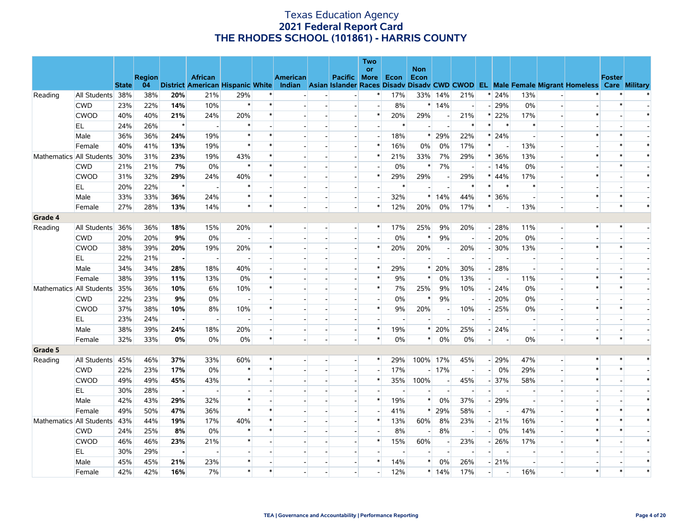|         |                          |              |               |                |                                         |                          |        |                                           |                          | Two<br><b>or</b> |        | <b>Non</b> |                          |                |                          |                          |                          |                          |                                                               |               |        |
|---------|--------------------------|--------------|---------------|----------------|-----------------------------------------|--------------------------|--------|-------------------------------------------|--------------------------|------------------|--------|------------|--------------------------|----------------|--------------------------|--------------------------|--------------------------|--------------------------|---------------------------------------------------------------|---------------|--------|
|         |                          |              | <b>Region</b> |                | <b>African</b>                          |                          |        | <b>American</b>                           | Pacific More Econ        |                  |        | Econ       |                          |                |                          |                          |                          |                          |                                                               | <b>Foster</b> |        |
|         |                          | <b>State</b> | 04            |                | <b>District American Hispanic White</b> |                          |        | <b>Indian</b> Asian Islander Races Disadv |                          |                  |        |            |                          |                |                          |                          |                          |                          | Disady CWD CWOD EL Male Female Migrant Homeless Care Military |               |        |
| Reading | All Students 38%         |              | 38%           | 20%            | 21%                                     | 29%                      | $\ast$ |                                           |                          |                  | 17%    |            | 33% 14%                  | 21%            |                          | $* 24%$                  | 13%                      |                          |                                                               |               |        |
|         | <b>CWD</b>               | 23%          | 22%           | 14%            | 10%                                     | $\ast$                   | $\ast$ |                                           |                          |                  | 8%     |            | $*14%$                   | $\overline{a}$ |                          | $-29%$                   | 0%                       |                          |                                                               |               |        |
|         | <b>CWOD</b>              | 40%          | 40%           | 21%            | 24%                                     | 20%                      | $\ast$ |                                           |                          |                  | 20%    | 29%        | $\overline{a}$           | 21%            |                          | $* 22%$                  | 17%                      |                          | $\ast$                                                        |               | $\ast$ |
|         | EL                       | 24%          | 26%           | $\star$        | $\sim$                                  | $\ast$                   |        |                                           | $\sim$                   |                  | $\ast$ | $\sim$     | $\overline{a}$           | $\ast$         | $\ast$                   | $\ast$                   | $\ast$                   |                          |                                                               |               |        |
|         | Male                     | 36%          | 36%           | 24%            | 19%                                     | $\ast$                   |        |                                           |                          |                  | 18%    | $\ast$     | 29%                      | 22%            |                          | $* 24%$                  | $\overline{\phantom{a}}$ |                          |                                                               |               |        |
|         | Female                   | 40%          | 41%           | 13%            | 19%                                     | $\ast$                   |        |                                           |                          |                  | 16%    | 0%         | 0%                       | 17%            | $\ast$                   | $\overline{a}$           | 13%                      |                          |                                                               |               |        |
|         | Mathematics All Students | 30%          | 31%           | 23%            | 19%                                     | 43%                      | $\ast$ |                                           |                          | ∗                | 21%    | 33%        | 7%                       | 29%            |                          | $* 36%$                  | 13%                      |                          | $\ast$                                                        |               | $\ast$ |
|         | <b>CWD</b>               | 21%          | 21%           | 7%             | 0%                                      | $\ast$                   | $\ast$ |                                           |                          |                  | 0%     | $\ast$     | 7%                       |                |                          | $-14%$                   | 0%                       |                          |                                                               |               |        |
|         | <b>CWOD</b>              | 31%          | 32%           | 29%            | 24%                                     | 40%                      | $\ast$ |                                           |                          | $\ast$           | 29%    | 29%        | $\blacksquare$           | 29%            |                          | $* 44%$                  | 17%                      |                          | $\ast$                                                        |               | $\ast$ |
|         | EL                       | 20%          | 22%           | $\star$        |                                         |                          |        |                                           |                          |                  |        |            |                          |                | *                        | $\ast$                   | $\ast$                   |                          |                                                               |               |        |
|         | Male                     | 33%          | 33%           | 36%            | 24%                                     | $\ast$                   |        |                                           | ш.                       |                  | 32%    |            | $*14%$                   | 44%            |                          | $*136%$                  | $\overline{\phantom{a}}$ |                          | $\ast$                                                        |               |        |
|         | Female                   | 27%          | 28%           | 13%            | 14%                                     | $\ast$                   | $\ast$ |                                           |                          | $\ast$           | 12%    | 20%        | 0%                       | 17%            | $\ast$                   | $\overline{a}$           | 13%                      |                          |                                                               |               | $\ast$ |
| Grade 4 |                          |              |               |                |                                         |                          |        |                                           |                          |                  |        |            |                          |                |                          |                          |                          |                          |                                                               |               |        |
| Reading | All Students             | 36%          | 36%           | 18%            | 15%                                     | 20%                      | $\ast$ |                                           | $\sim$                   |                  | 17%    | 25%        | 9%                       | 20%            |                          | $-28%$                   | 11%                      |                          | $\ast$                                                        | ∗             |        |
|         | <b>CWD</b>               | 20%          | 20%           | 9%             | 0%                                      |                          |        |                                           |                          |                  | 0%     | $\ast$     | 9%                       |                |                          | $-20%$                   | 0%                       |                          |                                                               |               |        |
|         | <b>CWOD</b>              | 38%          | 39%           | 20%            | 19%                                     | 20%                      | $\ast$ |                                           |                          | $\ast$           | 20%    | 20%        |                          | 20%            |                          | $-30%$                   | 13%                      |                          | $\ast$                                                        |               |        |
|         | EL                       | 22%          | 21%           | п.             | $\overline{\phantom{a}}$                | $\overline{\phantom{a}}$ |        |                                           |                          |                  |        |            | $\blacksquare$           |                | $\overline{\phantom{a}}$ | $\overline{\phantom{a}}$ | $\sim$                   |                          |                                                               |               |        |
|         | Male                     | 34%          | 34%           | 28%            | 18%                                     | 40%                      |        |                                           |                          |                  | 29%    | $\ast$     | 20%                      | 30%            |                          | $-28%$                   | $\sim$                   |                          |                                                               |               |        |
|         | Female                   | 38%          | 39%           | 11%            | 13%                                     | 0%                       | $\ast$ |                                           |                          | $\ast$           | 9%     | $\ast$     | 0%                       | 13%            | $\overline{a}$           | $\overline{\phantom{a}}$ | 11%                      |                          | $\ast$                                                        |               |        |
|         | Mathematics All Students | 35%          | 36%           | 10%            | 6%                                      | 10%                      |        |                                           |                          |                  | 7%     | 25%        | 9%                       | 10%            |                          | $-24%$                   | $0\%$                    |                          |                                                               |               |        |
|         | <b>CWD</b>               | 22%          | 23%           | 9%             | 0%                                      |                          |        |                                           |                          |                  | 0%     | $\ast$     | 9%                       | $\sim$         |                          | $-20%$                   | 0%                       |                          |                                                               |               |        |
|         | <b>CWOD</b>              | 37%          | 38%           | 10%            | 8%                                      | 10%                      | $\ast$ |                                           |                          | ∗                | 9%     | 20%        | $\overline{a}$           | 10%            |                          | $-25%$                   | $0\%$                    |                          | $\ast$                                                        |               |        |
|         | EL                       | 23%          | 24%           | $\blacksquare$ | $\overline{\phantom{a}}$                |                          |        |                                           |                          |                  |        |            |                          |                |                          |                          |                          |                          |                                                               |               |        |
|         | Male                     | 38%          | 39%           | 24%            | 18%                                     | 20%                      |        |                                           |                          | $\ast$           | 19%    | $\ast$     | 20%                      | 25%            |                          | $-24%$                   | $\overline{a}$           |                          |                                                               |               |        |
|         | Female                   | 32%          | 33%           | 0%             | 0%                                      | 0%                       | $\ast$ |                                           | $\sim$                   |                  | $0\%$  | $\ast$     | 0%                       | 0%             | - 1                      | $\overline{\phantom{a}}$ | $0\%$                    | $\overline{\phantom{a}}$ | $\ast$                                                        | $\ast$        |        |
| Grade 5 |                          |              |               |                |                                         |                          |        |                                           |                          |                  |        |            |                          |                |                          |                          |                          |                          |                                                               |               |        |
| Reading | All Students             | 45%          | 46%           | 37%            | 33%                                     | 60%                      | $\ast$ |                                           | $\overline{\phantom{a}}$ | ∗                | 29%    | 100% 17%   |                          | 45%            |                          | $-29%$                   | 47%                      |                          | $\ast$                                                        |               | $\ast$ |
|         | <b>CWD</b>               | 22%          | 23%           | 17%            | 0%                                      | $\ast$                   | $\ast$ |                                           |                          |                  | 17%    |            | $-17%$                   |                | $-1$                     | 0%                       | 29%                      |                          | $\ast$                                                        |               |        |
|         | <b>CWOD</b>              | 49%          | 49%           | 45%            | 43%                                     | $\ast$                   |        |                                           | $\overline{\phantom{a}}$ | $\ast$           | 35%    | 100%       | $\sim$                   | 45%            |                          | $-37%$                   | 58%                      |                          | $\ast$                                                        |               | $\ast$ |
|         | EL                       | 30%          | 28%           | $\blacksquare$ |                                         |                          |        |                                           |                          |                  |        |            |                          |                |                          | $\overline{\phantom{a}}$ |                          |                          |                                                               |               |        |
|         | Male                     | 42%          | 43%           | 29%            | 32%                                     | $\ast$                   |        |                                           |                          |                  | 19%    | $\ast$     | 0%                       | 37%            |                          | $-29%$                   | $\sim$                   |                          |                                                               |               |        |
|         | Female                   | 49%          | 50%           | 47%            | 36%                                     | $\ast$                   | $\ast$ |                                           |                          |                  | 41%    | $\ast$     | 29%                      | 58%            | $\overline{a}$           | $\overline{\phantom{a}}$ | 47%                      |                          | $\ast$                                                        |               |        |
|         | Mathematics All Students | 43%          | 44%           | 19%            | 17%                                     | 40%                      | $\ast$ |                                           |                          |                  | 13%    | 60%        | 8%                       | 23%            |                          | $-21%$                   | 16%                      |                          | $\ast$                                                        |               | $\ast$ |
|         | <b>CWD</b>               | 24%          | 25%           | 8%             | 0%                                      | $\ast$                   | $\ast$ |                                           |                          |                  | 8%     |            | 8%                       |                | $-$                      | 0%                       | 14%                      |                          | $\ast$                                                        | $\ast$        |        |
|         | <b>CWOD</b>              | 46%          | 46%           | 23%            | 21%                                     | $\ast$                   |        |                                           |                          |                  | 15%    | 60%        | $\overline{\phantom{a}}$ | 23%            |                          | $-26%$                   | 17%                      |                          | $\ast$                                                        |               |        |
|         | EL                       | 30%          | 29%           | - 1            |                                         |                          |        |                                           |                          |                  |        |            |                          |                |                          |                          |                          |                          |                                                               |               |        |
|         | Male                     | 45%          | 45%           | 21%            | 23%                                     | $\ast$                   |        |                                           |                          |                  | 14%    | $*$        | 0%                       | 26%            |                          | $-21%$                   | $\overline{a}$           |                          |                                                               |               | $\ast$ |
|         | Female                   | 42%          | 42%           | 16%            | 7%                                      | $\ast$                   | $\ast$ |                                           |                          |                  | 12%    |            | $*14%$                   | 17%            |                          |                          | 16%                      |                          | $\ast$                                                        |               | $\ast$ |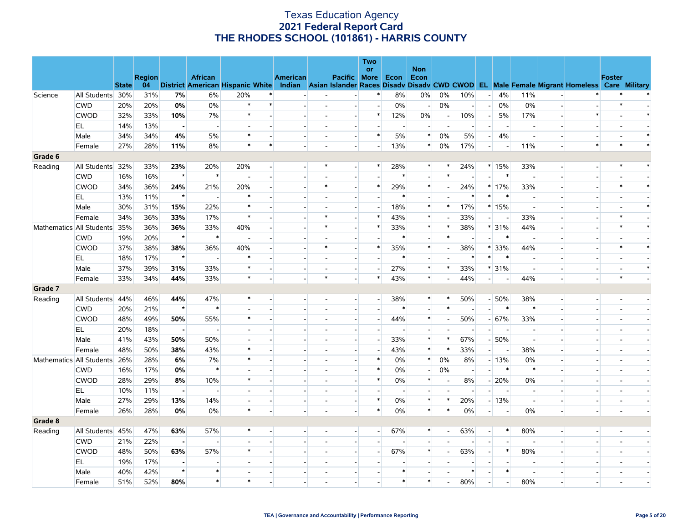|         |                          |              |               |                          |                                         |                          |                |                          |        |                          | Two                      |        |                          |                          |                          |                          |                                 |                          |                          |                                                                                           |        |        |
|---------|--------------------------|--------------|---------------|--------------------------|-----------------------------------------|--------------------------|----------------|--------------------------|--------|--------------------------|--------------------------|--------|--------------------------|--------------------------|--------------------------|--------------------------|---------------------------------|--------------------------|--------------------------|-------------------------------------------------------------------------------------------|--------|--------|
|         |                          |              | <b>Region</b> |                          | <b>African</b>                          |                          |                | <b>American</b>          |        | Pacific More Econ        | or                       |        | <b>Non</b><br>Econ       |                          |                          |                          |                                 |                          |                          |                                                                                           | Foster |        |
|         |                          | <b>State</b> | 04            |                          | <b>District American Hispanic White</b> |                          |                | Indian                   |        |                          |                          |        |                          |                          |                          |                          |                                 |                          |                          | Asian Islander Races Disady Disady CWD CWOD EL Male Female Migrant Homeless Care Military |        |        |
| Science | All Students 30%         |              | 31%           | 7%                       | 6%                                      | 20%                      |                |                          |        |                          |                          | 8%     | 0%                       | 0%                       | 10%                      | $\overline{\phantom{a}}$ | 4%                              | 11%                      |                          |                                                                                           |        |        |
|         | <b>CWD</b>               | 20%          | 20%           | 0%                       | $0\%$                                   | $\ast$                   | $\ast$         |                          |        | $\blacksquare$           | $\sim$                   | 0%     | $\overline{a}$           | 0%                       | $\overline{a}$           | $\overline{a}$           | 0%                              | 0%                       |                          |                                                                                           |        |        |
|         | <b>CWOD</b>              | 32%          | 33%           | 10%                      | 7%                                      | $\ast$                   |                |                          |        | $\overline{a}$           | $\ast$                   | 12%    | 0%                       | $\overline{\phantom{a}}$ | 10%                      | $\overline{\phantom{0}}$ | 5%                              | 17%                      |                          | $\ast$                                                                                    |        |        |
|         | EL                       | 14%          | 13%           | - 1                      | $\overline{\phantom{a}}$                |                          |                |                          |        | $\overline{\phantom{a}}$ |                          |        |                          | $\overline{\phantom{a}}$ |                          |                          | $\overline{\phantom{a}}$        |                          |                          |                                                                                           |        |        |
|         | Male                     | 34%          | 34%           | 4%                       | 5%                                      | $\ast$                   |                |                          |        | $\overline{a}$           | $\ast$                   | $5\%$  | $\ast$                   | 0%                       | 5%                       | $\overline{\phantom{a}}$ | 4%                              | $\overline{a}$           |                          |                                                                                           |        |        |
|         | Female                   | 27%          | 28%           | 11%                      | 8%                                      | $\ast$                   | $\ast$         |                          |        | $\overline{\phantom{a}}$ | $\overline{\phantom{a}}$ | 13%    | $\ast$                   | 0%                       | 17%                      | $\overline{a}$           | $\overline{\phantom{a}}$        | 11%                      |                          | $\ast$                                                                                    |        |        |
| Grade 6 |                          |              |               |                          |                                         |                          |                |                          |        |                          |                          |        |                          |                          |                          |                          |                                 |                          |                          |                                                                                           |        |        |
| Reading | All Students 32%         |              | 33%           | 23%                      | 20%                                     | 20%                      |                |                          |        | $\overline{\phantom{a}}$ |                          | 28%    | $\ast$                   | $\ast$                   | 24%                      |                          | $*15%$                          | 33%                      | $\blacksquare$           |                                                                                           |        |        |
|         | <b>CWD</b>               | 16%          | 16%           | $\star$                  | $\ast$                                  |                          |                |                          |        |                          |                          | $\ast$ |                          | $\ast$                   |                          |                          | $\ast$                          | $\overline{a}$           |                          |                                                                                           |        |        |
|         | <b>CWOD</b>              | 34%          | 36%           | 24%                      | 21%                                     | 20%                      |                |                          |        |                          | $\ast$                   | 29%    | $\ast$                   |                          | 24%                      |                          | $*17%$                          | 33%                      |                          |                                                                                           |        |        |
|         | EL                       | 13%          | 11%           | $\star$                  | $\overline{a}$                          | $\ast$                   |                |                          |        |                          |                          | $\ast$ | $\overline{\phantom{a}}$ | $\overline{a}$           | $\ast$                   |                          | $\ast$<br>$\ast$                |                          |                          |                                                                                           |        |        |
|         | Male                     | 30%          | 31%           | 15%                      | 22%                                     | $\ast$                   |                |                          |        |                          |                          | 18%    | $\ast$                   | $\ast$                   | 17%                      |                          | $*15%$                          | $\overline{\phantom{a}}$ |                          |                                                                                           |        |        |
|         | Female                   | 34%          | 36%           | 33%                      | 17%                                     | $\ast$                   |                |                          |        |                          | $\ast$                   | 43%    | $\ast$                   |                          | 33%                      | $\overline{\phantom{a}}$ | $\overline{\phantom{a}}$        | 33%                      |                          |                                                                                           |        |        |
|         | Mathematics All Students | 35%          | 36%           | 36%                      | 33%                                     | 40%                      |                |                          |        | $\blacksquare$           | $\ast$                   | 33%    | $\ast$                   | $\ast$                   | 38%                      |                          | * 31%                           | 44%                      |                          |                                                                                           |        |        |
|         | <b>CWD</b>               | 19%          | 20%           | $\star$                  | $\ast$                                  |                          |                |                          |        |                          |                          | $\ast$ |                          | $\ast$                   |                          | $\overline{\phantom{a}}$ | $\ast$                          |                          |                          |                                                                                           |        |        |
|         | <b>CWOD</b>              | 37%          | 38%           | 38%                      | 36%                                     | 40%                      |                |                          | ∗      | $\overline{a}$           | $\ast$                   | 35%    | $\ast$                   | $\overline{\phantom{a}}$ | 38%                      |                          | * 33%                           | 44%                      |                          |                                                                                           |        |        |
|         | EL                       | 18%          | 17%           | $\star$                  |                                         | $\ast$                   |                |                          |        |                          |                          | $\ast$ |                          |                          | $\ast$                   | $\ast$                   | $\ast$                          |                          |                          |                                                                                           |        |        |
|         | Male                     | 37%          | 39%           | 31%                      | 33%                                     | $\ast$                   |                |                          |        | $\sim$                   |                          | 27%    | $\ast$                   | $\ast$                   | 33%                      |                          | * 31%                           | $\overline{a}$           |                          | $\overline{a}$                                                                            |        | $\ast$ |
|         | Female                   | 33%          | 34%           | 44%                      | 33%                                     | $\ast$                   |                |                          | $\ast$ |                          | $\ast$                   | 43%    | $\ast$                   |                          | 44%                      |                          | $-$<br>$\overline{\phantom{a}}$ | 44%                      | $\overline{a}$           |                                                                                           | $\ast$ |        |
| Grade 7 |                          |              |               |                          |                                         |                          |                |                          |        |                          |                          |        |                          |                          |                          |                          |                                 |                          |                          |                                                                                           |        |        |
| Reading | All Students             | 44%          | 46%           | 44%                      | 47%                                     | $\ast$                   |                |                          |        | $\sim$                   | $\overline{a}$           | 38%    | *                        | $\ast$                   | 50%                      |                          | $-50%$                          | 38%                      | $\blacksquare$           | $\blacksquare$                                                                            |        |        |
|         | <b>CWD</b>               | 20%          | 21%           | $\star$                  | $\ast$                                  |                          |                |                          |        | $\overline{\phantom{a}}$ |                          | $\ast$ | $\overline{\phantom{a}}$ | $\ast$                   | $\overline{\phantom{a}}$ | $\overline{a}$           | $\ast$                          | $\ast$                   |                          |                                                                                           |        |        |
|         | <b>CWOD</b>              | 48%          | 49%           | 50%                      | 55%                                     | $\ast$                   |                |                          |        |                          |                          | 44%    | $\ast$                   | $\blacksquare$           | 50%                      |                          | $-67%$                          | 33%                      |                          |                                                                                           |        |        |
|         | EL                       | 20%          | 18%           | $\blacksquare$           | $\overline{\phantom{a}}$                |                          |                |                          |        |                          |                          |        | $\overline{a}$           | $\overline{a}$           | $\overline{a}$           | $\overline{\phantom{a}}$ | $\overline{\phantom{a}}$        | $\overline{a}$           |                          |                                                                                           |        |        |
|         | Male                     | 41%          | 43%           | 50%                      | 50%                                     |                          |                |                          |        |                          |                          | 33%    | $\ast$                   | $\ast$                   | 67%                      |                          | $-50%$                          | $\overline{\phantom{a}}$ |                          |                                                                                           |        |        |
|         | Female                   | 48%          | 50%           | 38%                      | 43%                                     | $\ast$                   |                |                          |        | $\overline{a}$           | $\overline{a}$           | 43%    | $\ast$                   | $\ast$                   | 33%                      | $\overline{\phantom{a}}$ | $\overline{\phantom{a}}$        | 38%                      |                          |                                                                                           |        |        |
|         | Mathematics All Students | 26%          | 28%           | 6%                       | 7%                                      | $\ast$                   |                |                          |        |                          | $\ast$                   | 0%     | *                        | 0%                       | 8%                       |                          | $-13%$                          | $0\%$                    |                          |                                                                                           |        |        |
|         | <b>CWD</b>               | 16%          | 17%           | 0%                       | $\ast$                                  |                          |                |                          |        |                          | $\ast$                   | 0%     | $\overline{a}$           | 0%                       | $\overline{\phantom{a}}$ | $\overline{\phantom{a}}$ | $\ast$                          | $\ast$                   |                          |                                                                                           |        |        |
|         | <b>CWOD</b>              | 28%          | 29%           | 8%                       | 10%                                     | $\ast$                   |                |                          |        |                          | $\ast$                   | 0%     | $\ast$                   | ÷.                       | 8%                       |                          | $-20%$                          | 0%                       |                          |                                                                                           |        |        |
|         | EL                       | 10%          | 11%           | $\overline{\phantom{a}}$ | $\blacksquare$                          |                          |                |                          |        |                          |                          |        | $\overline{\phantom{a}}$ | $\overline{a}$           | $\overline{\phantom{a}}$ | $\overline{\phantom{a}}$ | $\overline{\phantom{a}}$        | $\overline{\phantom{a}}$ |                          |                                                                                           |        |        |
|         | Male                     | 27%          | 29%           | 13%                      | 14%                                     | $\overline{\phantom{a}}$ |                | $\overline{\phantom{a}}$ |        | $\overline{a}$           | $\ast$                   | 0%     | *                        | $\ast$                   | 20%                      |                          | $-13%$                          | $\overline{\phantom{a}}$ |                          |                                                                                           |        |        |
|         | Female                   | 26%          | 28%           | 0%                       | $0\%$                                   | $\ast$                   | $\overline{a}$ |                          |        | $\overline{a}$           | $\ast$                   | 0%     | $\ast$                   | $\ast$                   | 0%                       | $\overline{\phantom{a}}$ | $\overline{a}$                  | 0%                       | $\blacksquare$           |                                                                                           |        |        |
| Grade 8 |                          |              |               |                          |                                         |                          |                |                          |        |                          |                          |        |                          |                          |                          |                          |                                 |                          |                          |                                                                                           |        |        |
| Reading | All Students             | 45%          | 47%           | 63%                      | 57%                                     | $\ast$                   |                |                          |        | $\sim$                   | н.                       | 67%    | $\ast$                   | $\overline{\phantom{a}}$ | 63%                      | $\overline{\phantom{a}}$ | $\ast$                          | 80%                      | $\overline{\phantom{a}}$ |                                                                                           |        |        |
|         | <b>CWD</b>               | 21%          | 22%           | $\blacksquare$           |                                         |                          |                |                          |        |                          |                          |        |                          |                          |                          | $\overline{\phantom{a}}$ | $\overline{\phantom{a}}$        |                          |                          |                                                                                           |        |        |
|         | <b>CWOD</b>              | 48%          | 50%           | 63%                      | 57%                                     | $\ast$                   |                |                          |        |                          | $\overline{a}$           | 67%    | $\ast$                   | $\overline{a}$           | 63%                      | $\overline{\phantom{a}}$ | $\ast$                          | 80%                      |                          |                                                                                           |        |        |
|         | EL.                      | 19%          | 17%           | $\blacksquare$           |                                         |                          |                |                          |        |                          |                          |        |                          |                          |                          |                          | $\overline{\phantom{a}}$        |                          |                          |                                                                                           |        |        |
|         | Male                     | 40%          | 42%           | $\star$                  | $\ast$                                  |                          |                |                          |        |                          |                          | $\ast$ |                          |                          | $\ast$                   |                          | $\ast$                          |                          |                          |                                                                                           |        |        |
|         | Female                   | 51%          | 52%           | 80%                      | $\ast$                                  | $\ast$                   |                |                          |        |                          |                          | $\ast$ | $\ast$                   | $\overline{\phantom{a}}$ | 80%                      | $\overline{\phantom{a}}$ | $\blacksquare$                  | 80%                      |                          |                                                                                           |        |        |
|         |                          |              |               |                          |                                         |                          |                |                          |        |                          |                          |        |                          |                          |                          |                          |                                 |                          |                          |                                                                                           |        |        |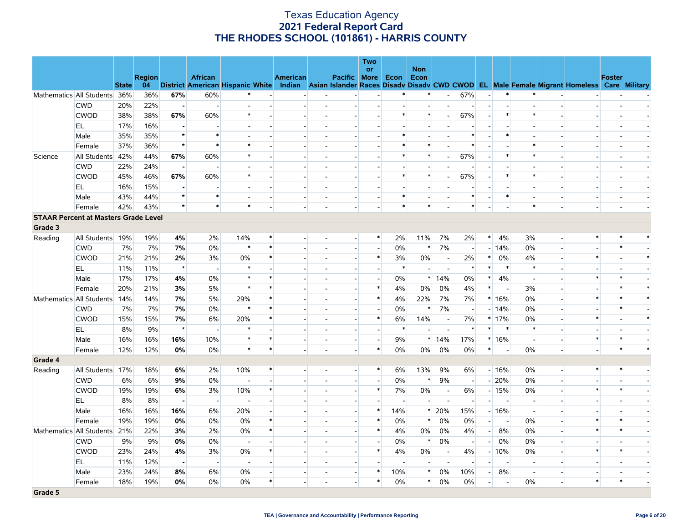|         |                                             |              |               |                          |                          |                          |              |                          |                          | <b>Two</b>               |        |                          |                          |                          |                          |                          |                |                          |                                                                                                                                   |        |        |
|---------|---------------------------------------------|--------------|---------------|--------------------------|--------------------------|--------------------------|--------------|--------------------------|--------------------------|--------------------------|--------|--------------------------|--------------------------|--------------------------|--------------------------|--------------------------|----------------|--------------------------|-----------------------------------------------------------------------------------------------------------------------------------|--------|--------|
|         |                                             |              | <b>Region</b> |                          | <b>African</b>           |                          |              | <b>American</b>          | Pacific More             | <b>or</b>                | Econ   | <b>Non</b><br>Econ       |                          |                          |                          |                          |                |                          |                                                                                                                                   | Foster |        |
|         |                                             | <b>State</b> | 04            |                          |                          |                          |              |                          |                          |                          |        |                          |                          |                          |                          |                          |                |                          | District American Hispanic White Indian Asian Islander Races Disady Disady CWD CWOD EL Male Female Migrant Homeless Care Military |        |        |
|         | Mathematics All Students                    | 36%          | 36%           | 67%                      | 60%                      |                          |              |                          | $\overline{\phantom{a}}$ |                          |        | *                        | $\overline{a}$           | 67%                      | $\overline{a}$           | $\ast$                   | $\ast$         |                          |                                                                                                                                   |        |        |
|         | <b>CWD</b>                                  | 20%          | 22%           | $\blacksquare$           |                          |                          |              |                          |                          |                          |        |                          | $\overline{\phantom{a}}$ |                          |                          |                          |                |                          |                                                                                                                                   |        |        |
|         | <b>CWOD</b>                                 | 38%          | 38%           | 67%                      | 60%                      | $\ast$                   |              |                          |                          |                          | $\ast$ | $\ast$                   | $\blacksquare$           | 67%                      | $\overline{\phantom{a}}$ | $\ast$                   | $\ast$         |                          |                                                                                                                                   |        |        |
|         | EL.                                         | 17%          | 16%           | $\sim$                   |                          |                          |              |                          |                          |                          |        |                          |                          |                          |                          |                          |                |                          |                                                                                                                                   |        |        |
|         | Male                                        | 35%          | 35%           | $\star$                  | $\ast$                   |                          |              |                          |                          |                          |        |                          |                          | $\ast$                   |                          | $\ast$                   |                |                          |                                                                                                                                   |        |        |
|         | Female                                      | 37%          | 36%           | $\star$                  | $\ast$                   | $\ast$                   |              |                          |                          |                          | $\ast$ | $\ast$                   | $\overline{a}$           | $\ast$                   |                          |                          | $\ast$         |                          |                                                                                                                                   |        |        |
| Science | All Students                                | 42%          | 44%           | 67%                      | 60%                      | $\ast$                   |              |                          |                          |                          |        | *                        | $\overline{a}$           | 67%                      | $\overline{\phantom{a}}$ | $\ast$                   | $\ast$         |                          |                                                                                                                                   |        |        |
|         | <b>CWD</b>                                  | 22%          | 24%           | $\overline{\phantom{a}}$ | $\overline{\phantom{a}}$ |                          |              |                          | $\overline{a}$           |                          |        |                          | $\overline{a}$           | $\overline{a}$           | $\sim$                   |                          |                |                          |                                                                                                                                   |        |        |
|         | <b>CWOD</b>                                 | 45%          | 46%           | 67%                      | 60%                      | $\ast$                   |              |                          |                          |                          | $\ast$ | $\ast$                   | $\blacksquare$           | 67%                      |                          | $\ast$                   | $\ast$         |                          |                                                                                                                                   |        |        |
|         | EL.                                         | 16%          | 15%           | $\blacksquare$           | $\overline{\phantom{a}}$ | $\overline{\phantom{a}}$ |              |                          |                          |                          |        |                          | $\blacksquare$           | $\overline{\phantom{a}}$ |                          |                          |                |                          |                                                                                                                                   |        |        |
|         | Male                                        | 43%          | 44%           | $\star$                  | $\ast$                   |                          |              |                          |                          |                          | $\ast$ |                          |                          | $\ast$                   |                          | $\ast$                   |                |                          |                                                                                                                                   |        |        |
|         | Female                                      | 42%          | 43%           | $\star$                  | $\ast$                   | $\ast$                   |              |                          |                          | $\overline{\phantom{a}}$ | $\ast$ | $\ast$                   |                          | $\ast$                   |                          |                          | $\ast$         | $\overline{\phantom{a}}$ | $\blacksquare$                                                                                                                    |        |        |
|         | <b>STAAR Percent at Masters Grade Level</b> |              |               |                          |                          |                          |              |                          |                          |                          |        |                          |                          |                          |                          |                          |                |                          |                                                                                                                                   |        |        |
| Grade 3 |                                             |              |               |                          |                          |                          |              |                          |                          |                          |        |                          |                          |                          |                          |                          |                |                          |                                                                                                                                   |        |        |
| Reading | All Students 19%                            |              | 19%           | 4%                       | 2%                       | 14%                      | $\ast$       |                          | $\overline{a}$           | $\ast$                   | 2%     | 11%                      | 7%                       | 2%                       | $\ast$                   | 4%                       | 3%             | $\overline{\phantom{a}}$ | $\ast$                                                                                                                            |        |        |
|         | <b>CWD</b>                                  | 7%           | 7%            | 7%                       | 0%                       | $\ast$                   | $\ast$       |                          | $\overline{\phantom{a}}$ | $\overline{a}$           | 0%     | $\ast$                   | 7%                       | $\overline{a}$           |                          | $-14%$                   | 0%             | $\blacksquare$           |                                                                                                                                   |        |        |
|         | <b>CWOD</b>                                 | 21%          | 21%           | 2%                       | 3%                       | 0%                       | $\ast$       |                          | $\overline{a}$           | $\ast$                   | 3%     | 0%                       | $\overline{\phantom{a}}$ | 2%                       | $\ast$                   | 0%                       | 4%             | $\overline{a}$           | $\ast$                                                                                                                            |        | $\ast$ |
|         | EL                                          | 11%          | 11%           | $\star$                  | $\overline{\phantom{a}}$ | $\ast$                   |              |                          | $\overline{\phantom{a}}$ | $\overline{\phantom{a}}$ | $\ast$ | $\sim$                   | $\overline{\phantom{a}}$ | $\ast$                   | $\ast$                   | $\ast$                   | $\ast$         |                          |                                                                                                                                   |        |        |
|         | Male                                        | 17%          | 17%           | 4%                       | 0%                       | $\ast$                   | $\pmb{\ast}$ |                          | $\overline{a}$           | $\sim$                   | 0%     |                          | $*14%$                   | $0\%$                    | $\ast$                   | 4%                       | $\sim$         |                          | $\ast$                                                                                                                            |        |        |
|         | Female                                      | 20%          | 21%           | 3%                       | 5%                       | $\ast$                   | $\ast$       |                          |                          | $\ast$                   | 4%     | 0%                       | 0%                       | 4%                       | $\ast$                   | $\overline{\phantom{a}}$ | 3%             |                          |                                                                                                                                   |        | $\ast$ |
|         | Mathematics All Students                    | 14%          | 14%           | 7%                       | 5%                       | 29%                      | $\ast$       |                          | $\overline{a}$           | $\ast$                   | 4%     | 22%                      | 7%                       | $7\%$                    |                          | $*16%$                   | 0%             | $\overline{a}$           | $\ast$                                                                                                                            |        | $\ast$ |
|         | <b>CWD</b>                                  | 7%           | 7%            | 7%                       | 0%                       | $\ast$                   | $\star$      |                          |                          | $\sim$                   | 0%     | $\ast$                   | 7%                       | $\overline{\phantom{a}}$ |                          | $-14%$                   | 0%             |                          |                                                                                                                                   |        |        |
|         | <b>CWOD</b>                                 | 15%          | 15%           | 7%                       | 6%                       | 20%                      | $\ast$       |                          | $\overline{\phantom{a}}$ | $\ast$                   | 6%     | 14%                      | $\sim$                   | 7%                       |                          | $*17%$                   | 0%             |                          | $\ast$                                                                                                                            |        | $\ast$ |
|         | EL                                          | 8%           | 9%            | $\star$                  | $\overline{\phantom{a}}$ | $\ast$                   |              |                          |                          |                          | $\ast$ |                          |                          | $\ast$                   | $\ast$                   | $\ast$                   | $\ast$         |                          |                                                                                                                                   |        |        |
|         | Male                                        | 16%          | 16%           | 16%                      | 10%                      | $\ast$                   | $\ast$       | $\overline{\phantom{a}}$ | $\overline{a}$           | $\overline{a}$           | 9%     |                          | $*14%$                   | 17%                      |                          | $*16%$                   | $\sim$         | $\blacksquare$           | $\ast$                                                                                                                            |        |        |
|         | Female                                      | 12%          | 12%           | 0%                       | 0%                       | $\ast$                   | $\ast$       |                          | $\overline{a}$           | $\ast$                   | 0%     | 0%                       | 0%                       | 0%                       | $\ast$                   | $\overline{\phantom{a}}$ | 0%             | $\overline{\phantom{a}}$ | $\overline{a}$                                                                                                                    | $\ast$ | $\ast$ |
| Grade 4 |                                             |              |               |                          |                          |                          |              |                          |                          |                          |        |                          |                          |                          |                          |                          |                |                          |                                                                                                                                   |        |        |
| Reading | All Students                                | 17%          | 18%           | 6%                       | 2%                       | 10%                      | $\ast$       |                          | $\overline{a}$           | $\ast$                   | 6%     | 13%                      | 9%                       | 6%                       |                          | $-16%$                   | 0%             | $\overline{a}$           | $\ast$                                                                                                                            |        |        |
|         | <b>CWD</b>                                  | 6%           | 6%            | 9%                       | 0%                       |                          |              |                          | $\overline{\phantom{a}}$ | $\overline{a}$           | 0%     | $\ast$                   | 9%                       | $\overline{\phantom{a}}$ |                          | $-20%$                   | 0%             | $\overline{\phantom{a}}$ |                                                                                                                                   |        |        |
|         | <b>CWOD</b>                                 | 19%          | 19%           | 6%                       | 3%                       | 10%                      | $\ast$       |                          | $\sim$                   | $\ast$                   | 7%     | $0\%$                    | $\overline{\phantom{a}}$ | 6%                       |                          | $-15%$                   | 0%             |                          | $\ast$                                                                                                                            |        |        |
|         | EL                                          | 8%           | 8%            | $\mathbf{u}^{\dagger}$   | $\overline{\phantom{a}}$ |                          |              |                          |                          |                          |        | $\overline{\phantom{a}}$ |                          |                          |                          |                          |                |                          |                                                                                                                                   |        |        |
|         | Male                                        | 16%          | 16%           | 16%                      | 6%                       | 20%                      |              |                          | $\sim$ $^{\circ}$        | $\ast$                   | 14%    | $\ast$                   | 20%                      | 15%                      |                          | $-16%$                   | $\overline{a}$ |                          |                                                                                                                                   |        |        |
|         | Female                                      | 19%          | 19%           | 0%                       | 0%                       | $0\%$                    | $\star$      |                          | $\overline{a}$           | $\ast$                   | 0%     | $\ast$                   | 0%                       | $0\%$                    | $\overline{\phantom{a}}$ | $\overline{\phantom{a}}$ | 0%             |                          | $\ast$                                                                                                                            |        |        |
|         | Mathematics All Students                    | 21%          | 22%           | 3%                       | 2%                       | 0%                       | $\ast$       |                          | $\overline{\phantom{a}}$ | $\ast$                   | 4%     | $0\%$                    | 0%                       | 4%                       |                          | 8%<br>$-1$               | 0%             |                          | $\ast$                                                                                                                            |        |        |
|         | <b>CWD</b>                                  | 9%           | 9%            | 0%                       | 0%                       |                          |              |                          |                          |                          | 0%     | $\ast$                   | 0%                       | $\overline{\phantom{a}}$ | $\overline{\phantom{a}}$ | 0%                       | 0%             |                          |                                                                                                                                   |        |        |
|         | <b>CWOD</b>                                 | 23%          | 24%           | 4%                       | 3%                       | 0%                       | $\ast$       |                          | $\overline{a}$           | $\ast$                   | 4%     | 0%                       | $\overline{\phantom{a}}$ | 4%                       |                          | $-10%$                   | 0%             | $\overline{a}$           | $\ast$                                                                                                                            |        |        |
|         | EL                                          | 11%          | 12%           | н.                       | $\sim$                   |                          |              |                          |                          |                          |        |                          | $\sim$                   |                          |                          |                          |                |                          |                                                                                                                                   |        |        |
|         | Male                                        | 23%          | 24%           | 8%                       | 6%                       | $0\%$                    |              |                          | $\overline{\phantom{a}}$ | $\ast$                   | 10%    | $\ast$                   | 0%                       | 10%                      | $\overline{\phantom{0}}$ | 8%                       | $\sim$         |                          |                                                                                                                                   |        |        |
|         | Female                                      | 18%          | 19%           | 0%                       | $0\%$                    | 0%                       | $\ast$       |                          | $\overline{a}$           | $\ast$                   | 0%     | $\ast$                   | 0%                       | 0%                       | $\overline{\phantom{a}}$ |                          | 0%             | $\blacksquare$           | $\ast$                                                                                                                            | $\ast$ |        |
| Grade 5 |                                             |              |               |                          |                          |                          |              |                          |                          |                          |        |                          |                          |                          |                          |                          |                |                          |                                                                                                                                   |        |        |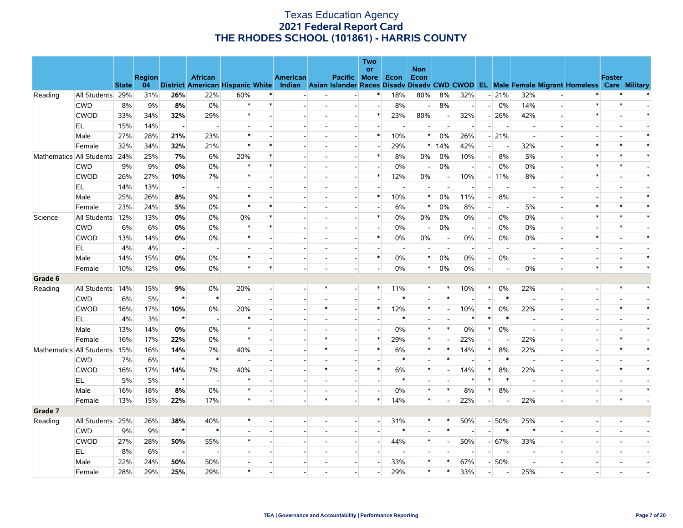|         |                          |              |               |                |                                         |        |         |                 |        |                             | Two<br><b>or</b> |        | <b>Non</b>               |                          |                          |                          |                          |                          |                          |                                                               |               |        |  |
|---------|--------------------------|--------------|---------------|----------------|-----------------------------------------|--------|---------|-----------------|--------|-----------------------------|------------------|--------|--------------------------|--------------------------|--------------------------|--------------------------|--------------------------|--------------------------|--------------------------|---------------------------------------------------------------|---------------|--------|--|
|         |                          |              | <b>Region</b> |                | <b>African</b>                          |        |         | <b>American</b> |        | Pacific More Econ           |                  |        | Econ                     |                          |                          |                          |                          |                          |                          |                                                               | <b>Foster</b> |        |  |
|         |                          | <b>State</b> | 04            |                | <b>District American Hispanic White</b> |        |         | Indian          |        | Asian Islander Races Disadv |                  |        |                          |                          |                          |                          |                          |                          |                          | Disady CWD CWOD EL Male Female Migrant Homeless Care Military |               |        |  |
| Reading | All Students 29%         |              | 31%           | 26%            | 22%                                     | 60%    | $\ast$  |                 |        | $\overline{a}$              | $\ast$           | 18%    | 80%                      | 8%                       | 32%                      |                          | $-21%$                   | 32%                      |                          |                                                               |               |        |  |
|         | <b>CWD</b>               | 8%           | 9%            | 8%             | 0%                                      | $\ast$ | $\ast$  |                 |        | $\overline{\phantom{a}}$    | $\overline{a}$   | 8%     | $\overline{a}$           | 8%                       | $\left  - \right $       | $\left  \cdot \right $   | 0%                       | 14%                      |                          | $\ast$                                                        |               |        |  |
|         | <b>CWOD</b>              | 33%          | 34%           | 32%            | 29%                                     | $\ast$ |         |                 |        |                             | $\ast$           | 23%    | 80%                      | н,                       | 32%                      |                          | $-26%$                   | 42%                      |                          | $\ast$                                                        |               |        |  |
|         | EL                       | 15%          | 14%           | $\blacksquare$ | $\overline{a}$                          |        |         |                 |        | $\overline{a}$              |                  |        | $\overline{a}$           | $\overline{a}$           | $\sim$                   | $\overline{\phantom{a}}$ | $\overline{\phantom{a}}$ | $\sim$                   |                          |                                                               |               |        |  |
|         | Male                     | 27%          | 28%           | 21%            | 23%                                     | $\ast$ |         |                 |        |                             |                  | 10%    | $\ast$                   | 0%                       | 26%                      |                          | $-21%$                   | $\overline{\phantom{a}}$ |                          |                                                               |               |        |  |
|         | Female                   | 32%          | 34%           | 32%            | 21%                                     | $\ast$ |         |                 |        |                             |                  | 29%    | $\ast$                   | 14%                      | 42%                      | $\overline{\phantom{a}}$ |                          | 32%                      |                          |                                                               |               |        |  |
|         | Mathematics All Students | 24%          | 25%           | 7%             | 6%                                      | 20%    | $\ast$  |                 |        | $\overline{a}$              | $\ast$           | 8%     | 0%                       | 0%                       | 10%                      | $\left  - \right $       | 8%                       | 5%                       |                          | $\ast$                                                        |               |        |  |
|         | <b>CWD</b>               | 9%           | 9%            | 0%             | $0\%$                                   | $\ast$ | $\star$ |                 |        |                             |                  | 0%     | $\overline{\phantom{a}}$ | 0%                       |                          | $\overline{a}$           | 0%                       | 0%                       |                          |                                                               |               |        |  |
|         | <b>CWOD</b>              | 26%          | 27%           | 10%            | 7%                                      | $\ast$ |         |                 |        | $\overline{a}$              | $\ast$           | 12%    | 0%                       | $\blacksquare$           | 10%                      |                          | $-11\%$                  | 8%                       |                          | $\ast$                                                        |               |        |  |
|         | EL                       | 14%          | 13%           | $\blacksquare$ | $\overline{\phantom{a}}$                |        |         |                 |        |                             |                  |        |                          |                          |                          |                          |                          |                          |                          |                                                               |               |        |  |
|         | Male                     | 25%          | 26%           | 8%             | 9%                                      | $\ast$ |         |                 |        |                             | $\ast$           | 10%    | $\ast$                   | 0%                       | 11%                      | $-$                      | 8%                       | $\sim$                   |                          |                                                               |               |        |  |
|         | Female                   | 23%          | 24%           | 5%             | 0%                                      | $\ast$ | $\ast$  |                 |        |                             |                  | 6%     | $\ast$                   | 0%                       | 8%                       | $\overline{a}$           | $\overline{\phantom{a}}$ | 5%                       |                          | $\ast$                                                        |               |        |  |
| Science | All Students             | 12%          | 13%           | 0%             | 0%                                      | 0%     | $\ast$  |                 |        |                             | $\ast$           | 0%     | $0\%$                    | 0%                       | 0%                       | $-$                      | 0%                       | 0%                       |                          | $\ast$                                                        |               |        |  |
|         | <b>CWD</b>               | 6%           | 6%            | 0%             | 0%                                      | $\ast$ | $\ast$  |                 |        |                             |                  | 0%     | $\overline{\phantom{a}}$ | 0%                       | $\overline{a}$           | $\sim$                   | $0\%$                    | 0%                       | $\overline{a}$           |                                                               |               |        |  |
|         | <b>CWOD</b>              | 13%          | 14%           | 0%             | 0%                                      | $\ast$ |         |                 |        |                             | $\ast$           | 0%     | $0\%$                    | - 1                      | 0%                       | $\overline{\phantom{0}}$ | 0%                       | 0%                       |                          | $\ast$                                                        |               |        |  |
|         | EL                       | 4%           | 4%            | н.             | $\overline{\phantom{a}}$                |        |         |                 |        |                             |                  |        |                          | $\overline{\phantom{a}}$ |                          | $\overline{a}$           |                          | $\overline{a}$           |                          |                                                               |               |        |  |
|         | Male                     | 14%          | 15%           | 0%             | 0%                                      | $\ast$ |         |                 |        | $\overline{\phantom{a}}$    | $\ast$           | 0%     | $\ast$                   | 0%                       | 0%                       | $\overline{a}$           | 0%                       | $\overline{\phantom{a}}$ |                          |                                                               |               |        |  |
|         | Female                   | 10%          | 12%           | 0%             | 0%                                      | $\ast$ | $\star$ |                 |        |                             |                  | 0%     | $\ast$                   | 0%                       | 0%                       | $\overline{\phantom{a}}$ | $\overline{\phantom{a}}$ | $0\%$                    |                          | $\ast$                                                        |               | $\ast$ |  |
| Grade 6 |                          |              |               |                |                                         |        |         |                 |        |                             |                  |        |                          |                          |                          |                          |                          |                          |                          |                                                               |               |        |  |
| Reading | All Students 14%         |              | 15%           | 9%             | $0\%$                                   | 20%    |         |                 |        | $\overline{\phantom{a}}$    |                  | 11%    | *                        | $\ast$                   | 10%                      | $\ast$                   | 0%                       | 22%                      | $\overline{\phantom{a}}$ |                                                               |               |        |  |
|         | <b>CWD</b>               | 6%           | 5%            | $\star$        | $\ast$                                  |        |         |                 |        | $\overline{a}$              |                  | $\ast$ |                          | $\ast$                   |                          | $\overline{a}$           | $\ast$                   | $\sim$                   |                          |                                                               |               |        |  |
|         | <b>CWOD</b>              | 16%          | 17%           | 10%            | 0%                                      | 20%    |         |                 |        |                             | ∗                | 12%    | $\ast$                   | $\overline{\phantom{a}}$ | 10%                      | $\ast$                   | 0%                       | 22%                      |                          |                                                               |               |        |  |
|         | <b>EL</b>                | 4%           | 3%            | $\star$        | $\overline{\phantom{a}}$                | $\ast$ |         |                 |        |                             |                  | $\ast$ |                          |                          | ∗                        | $\ast$                   | $\ast$                   |                          |                          |                                                               |               |        |  |
|         | Male                     | 13%          | 14%           | 0%             | 0%                                      | $\ast$ |         |                 |        |                             |                  | 0%     | $\ast$                   | $\ast$                   | 0%                       | $\ast$                   | 0%                       | $\overline{a}$           |                          |                                                               |               |        |  |
|         | Female                   | 16%          | 17%           | 22%            | 0%                                      | $\ast$ |         |                 |        |                             | $\ast$           | 29%    | $\ast$                   |                          | 22%                      |                          |                          | 22%                      |                          |                                                               |               |        |  |
|         | Mathematics All Students | 15%          | 16%           | 14%            | 7%                                      | 40%    |         |                 |        |                             | $\ast$           | 6%     | $\ast$                   | $\ast$                   | 14%                      | $\ast$                   | 8%                       | 22%                      |                          |                                                               |               |        |  |
|         | <b>CWD</b>               | 7%           | 6%            | $\star$        | $\ast$                                  |        |         |                 |        |                             |                  | $\ast$ |                          | $\ast$                   |                          | $\overline{a}$           | $\ast$                   |                          |                          |                                                               |               |        |  |
|         | <b>CWOD</b>              | 16%          | 17%           | 14%            | 7%                                      | 40%    |         |                 |        |                             | $\ast$           | 6%     | $\ast$                   |                          | 14%                      | *                        | 8%                       | 22%                      |                          |                                                               |               | $\ast$ |  |
|         | EL.                      | 5%           | 5%            | $\star$        | $\overline{a}$                          | $\ast$ |         |                 |        |                             |                  | $\ast$ | $\overline{a}$           | $\overline{a}$           | *                        | $\ast$                   | $\ast$                   | $\overline{a}$           |                          |                                                               |               |        |  |
|         | Male                     | 16%          | 18%           | 8%             | 0%                                      | $\ast$ |         |                 |        | $\overline{a}$              |                  | 0%     | $\ast$                   | $\ast$                   | 8%                       | $\ast$                   | 8%                       | $\overline{a}$           |                          |                                                               |               | $\ast$ |  |
|         | Female                   | 13%          | 15%           | 22%            | 17%                                     | $\ast$ |         |                 | $\ast$ | $\overline{a}$              | $\ast$           | 14%    | $\ast$                   |                          | 22%                      | $\overline{a}$           | $\overline{\phantom{a}}$ | 22%                      | $\overline{a}$           |                                                               |               |        |  |
| Grade 7 |                          |              |               |                |                                         |        |         |                 |        |                             |                  |        |                          |                          |                          |                          |                          |                          |                          |                                                               |               |        |  |
| Reading | All Students             | 25%          | 26%           | 38%            | 40%                                     | $\ast$ |         |                 |        |                             |                  | 31%    | $\ast$                   | $\ast$                   | 50%                      |                          | $-50%$                   | 25%                      |                          |                                                               |               |        |  |
|         | <b>CWD</b>               | 9%           | 9%            | $\star$        | $\ast$                                  |        |         |                 |        |                             | $\overline{a}$   | $\ast$ | $\overline{a}$           | $\ast$                   | $\overline{\phantom{a}}$ | $\overline{a}$           | $\ast$                   | $\ast$                   |                          |                                                               |               |        |  |
|         | <b>CWOD</b>              | 27%          | 28%           | 50%            | 55%                                     | $\ast$ |         |                 |        |                             |                  | 44%    | $\ast$                   | $\overline{\phantom{a}}$ | 50%                      |                          | $- 67%$                  | 33%                      |                          |                                                               |               |        |  |
|         | EL.                      | 8%           | 6%            | - 1            | $\overline{\phantom{a}}$                |        |         |                 |        |                             |                  |        |                          |                          | $\overline{\phantom{a}}$ | $\overline{\phantom{a}}$ | $\overline{\phantom{a}}$ |                          |                          |                                                               |               |        |  |
|         | Male                     | 22%          | 24%           | 50%            | 50%                                     |        |         |                 |        |                             |                  | 33%    | $\ast$                   |                          | 67%                      |                          | $-50%$                   |                          |                          |                                                               |               |        |  |
|         | Female                   | 28%          | 29%           | 25%            | 29%                                     | $\ast$ |         |                 |        |                             |                  | 29%    | $\ast$                   | $\ast$                   | 33%                      |                          |                          | 25%                      |                          |                                                               |               |        |  |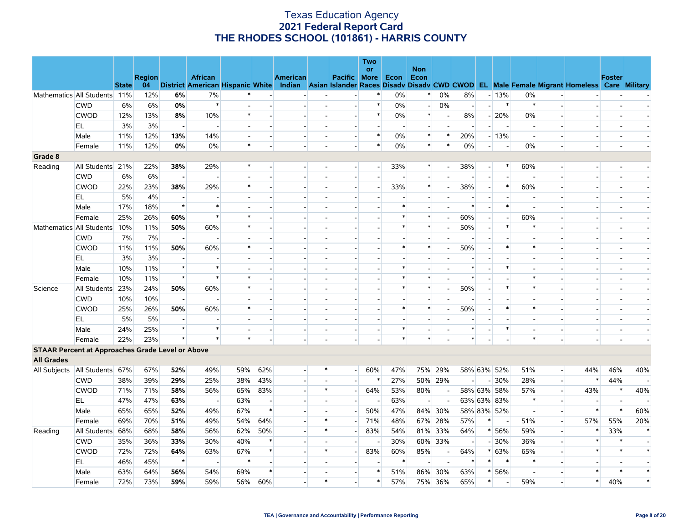| 04<br>District American Hispanic White Indian Asian Islander Races Disady Disady CWD CWOD EL Male Female Migrant Homeless Care Military<br><b>State</b>              |                                                      |
|----------------------------------------------------------------------------------------------------------------------------------------------------------------------|------------------------------------------------------|
| 12%<br>6%<br>Mathematics All Students 11%<br>7%<br>0%<br>$\ast$<br>0%<br>8%<br>$-13%$<br>0%                                                                          |                                                      |
| $\ast$<br>6%<br>6%<br>0%<br>$\ast$<br>$\ast$<br>0%<br>0%<br>$\ast$<br><b>CWD</b><br>$\overline{a}$<br>$\overline{a}$<br>$\overline{\phantom{a}}$                     | $\sim$                                               |
| CWOD<br>12%<br>13%<br>$\ast$<br>$\ast$<br>8%<br>10%<br>0%<br>$\ast$<br>8%<br>$-20%$<br>0%                                                                            | $\overline{a}$                                       |
| 3%<br>EL<br>3%<br>н.<br>$\overline{\phantom{a}}$<br>$\overline{\phantom{a}}$                                                                                         |                                                      |
| $\ast$<br>12%<br>$\ast$<br>$\ast$<br>Male<br>11%<br>13%<br>14%<br>0%<br>20%<br>$-13%$                                                                                |                                                      |
| 0%<br>0%<br>$\ast$<br>$\ast$<br>0%<br>0%<br>11%<br>12%<br>$\ast$<br>0%<br>$\ast$<br>Female<br>$\overline{a}$<br>$\overline{\phantom{a}}$                             | $\overline{\phantom{a}}$                             |
| Grade 8                                                                                                                                                              |                                                      |
| Reading<br>All Students 21%<br>22%<br>38%<br>29%<br>$\ast$<br>33%<br>38%<br>60%<br>$\ast$<br>$\ast$<br>$\overline{\phantom{a}}$<br>$\overline{a}$                    | $\overline{\phantom{a}}$                             |
| 6%<br><b>CWD</b><br>6%<br>$\overline{a}$<br>$\blacksquare$                                                                                                           |                                                      |
| <b>CWOD</b><br>22%<br>23%<br>38%<br>29%<br>33%<br>38%<br>60%<br>$\ast$<br>$\ast$<br>*<br>$\overline{\phantom{a}}$                                                    | $\overline{\phantom{a}}$                             |
| EL<br>5%<br>4%<br>$\blacksquare$                                                                                                                                     |                                                      |
| $\star$<br>$\ast$<br>Male<br>17%<br>18%<br>$\ast$<br>$\ast$<br>∗<br>$\overline{\phantom{a}}$                                                                         | $\overline{\phantom{a}}$                             |
| $\ast$<br>25%<br>26%<br>60%<br>$\ast$<br>$\ast$<br>$\ast$<br>60%<br>60%<br>Female<br>$\overline{\phantom{a}}$<br>$\overline{\phantom{a}}$                            |                                                      |
| 50%<br>60%<br>$\ast$<br>Mathematics All Students<br>10%<br>11%<br>$\ast$<br>$\ast$<br>$\ast$<br>50%<br>$\ast$<br>$\overline{\phantom{a}}$                            | $\overline{\phantom{a}}$                             |
| <b>CWD</b><br>7%<br>7%<br>$\blacksquare$                                                                                                                             |                                                      |
| <b>CWOD</b><br>50%<br>60%<br>$\ast$<br>$\ast$<br>50%<br>$\ast$<br>$\ast$<br>11%<br>11%<br>$\ast$                                                                     | $\sim$                                               |
| 3%<br>3%<br>EL.                                                                                                                                                      |                                                      |
| $\star$<br>10%<br>11%<br>$\ast$<br>Male<br>$\ast$<br>∗<br>∗                                                                                                          | $\sim$                                               |
| $\star$<br>$\ast$<br>$\ast$<br>$\ast$<br>10%<br>11%<br>$\ast$<br>$\ast$<br>$\ast$<br>Female                                                                          |                                                      |
| 60%<br>All Students<br>23%<br>24%<br>50%<br>$\ast$<br>$\ast$<br>$\ast$<br>50%<br>$\ast$<br>$\ast$<br>Science<br>$\overline{\phantom{a}}$<br>$\overline{\phantom{a}}$ |                                                      |
| <b>CWD</b><br>10%<br>10%<br>$\blacksquare$                                                                                                                           |                                                      |
| <b>CWOD</b><br>25%<br>26%<br>50%<br>60%<br>$\ast$<br>$\ast$<br>$\ast$<br>50%<br>$\ast$<br>$\ast$                                                                     | $\overline{\phantom{a}}$                             |
| EL.<br>5%<br>5%<br>$\blacksquare$                                                                                                                                    |                                                      |
| $\star$<br>Male<br>24%<br>25%<br>$\ast$<br>$\ast$<br>*<br>∗<br>$\overline{a}$<br>$\overline{\phantom{a}}$                                                            | $\overline{\phantom{a}}$<br>$\overline{\phantom{a}}$ |
| $\star$<br>$\ast$<br>$\ast$<br>23%<br>$\ast$<br>$\ast$<br>$\star$<br>$\ast$<br>Female<br>22%                                                                         |                                                      |
| <b>STAAR Percent at Approaches Grade Level or Above</b>                                                                                                              |                                                      |
| <b>All Grades</b>                                                                                                                                                    |                                                      |
| All Students 67%<br>59%<br>62%<br>60%<br>47%<br>75% 29%<br>67%<br>52%<br>49%<br>$\ast$<br>58% 63% 52%<br>51%<br>All Subjects<br>$\overline{\phantom{a}}$             | 44%<br>46%<br>40%<br>$\overline{a}$                  |
| 39%<br>29%<br>43%<br>$\ast$<br>27%<br>50% 29%<br>28%<br><b>CWD</b><br>38%<br>25%<br>38%<br>$-30%$                                                                    | $\ast$<br>44%<br>$\blacksquare$                      |
| <b>CWOD</b><br>71%<br>71%<br>58%<br>56%<br>65%<br>83%<br>$\ast$<br>64%<br>53%<br>80%<br>58% 63% 58%<br>57%<br>$\sim$<br>$\overline{\phantom{0}}$                     | 43%<br>$\ast$<br>40%<br>$\mathbf{r}$                 |
| EL.<br>47%<br>47%<br>63%<br>63%<br>$\ast$<br>63%<br>63% 63% 83%<br>$\sim$<br>$\overline{\phantom{a}}$<br>$\overline{\phantom{a}}$<br>$\overline{\phantom{a}}$        | $\overline{\phantom{a}}$                             |
| $\ast$<br>Male<br>65%<br>65%<br>52%<br>49%<br>67%<br>50%<br>47%<br>84% 30%<br>58% 83% 52%<br>$\overline{a}$                                                          | $\ast$<br>$\ast$<br>60%<br>$\overline{a}$            |
| 69%<br>70%<br>51%<br>49%<br>54%<br>64%<br>71%<br>48%<br>67% 28%<br>57%<br>$\ast$<br>Female<br>51%<br>$\overline{\phantom{a}}$                                        | 20%<br>57%<br>55%<br>$\sim$                          |
| 68%<br>68%<br>58%<br>56%<br>62%<br>50%<br>54%<br>81% 33%<br>64%<br>* 56%<br>59%<br>Reading<br>All Students<br>$\ast$<br>83%<br>$\overline{a}$                        | $\ast$<br>33%<br>$\overline{a}$                      |
| <b>CWD</b><br>35%<br>36%<br>33%<br>30%<br>40%<br>$\ast$<br>30%<br>60% 33%<br>$-30%$<br>36%<br>$\overline{\phantom{a}}$                                               | $\ast$<br>$\overline{\phantom{a}}$                   |
| CWOD<br>72%<br>72%<br>63%<br>$\ast$<br>$\ast$<br>83%<br>60%<br>85%<br>$* 63%$<br>64%<br>67%<br>64%<br>65%<br>$\overline{\phantom{a}}$                                | $\ast$<br>$\overline{a}$                             |
| EL<br>$\star$<br>$\ast$<br>$\ast$<br>$\ast$<br>$\ast$<br>46%<br>45%<br>$\ast$<br>$\ast$<br>$\overline{\phantom{a}}$<br>$\overline{\phantom{a}}$                      | $\overline{\phantom{a}}$                             |
| $\ast$<br>63%<br>64%<br>56%<br>54%<br>69%<br>$\ast$<br>51%<br>86%<br>30%<br>63%<br>$* 56%$<br>Male                                                                   | $\ast$                                               |
| 72%<br>73%<br>59%<br>59%<br>65%<br>59%<br>56%<br>60%<br>$\ast$<br>$\ast$<br>57%<br>75%<br>36%<br>$\ast$<br>Female<br>$\overline{\phantom{a}}$                        | 40%<br>$\ast$                                        |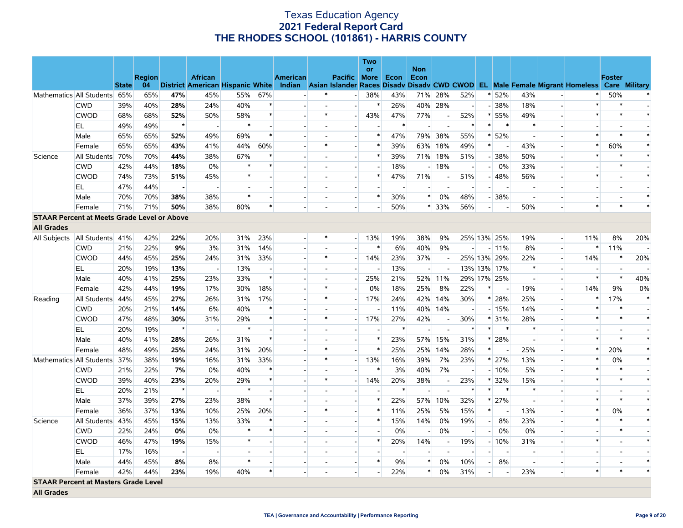|                   |                                                    |              |               |                |                          |        |                |                 |                          |                          | Two                      |      |                          |                          |                          |                |                          |                          |                          |                                                                                                                                   |               |                          |
|-------------------|----------------------------------------------------|--------------|---------------|----------------|--------------------------|--------|----------------|-----------------|--------------------------|--------------------------|--------------------------|------|--------------------------|--------------------------|--------------------------|----------------|--------------------------|--------------------------|--------------------------|-----------------------------------------------------------------------------------------------------------------------------------|---------------|--------------------------|
|                   |                                                    |              | <b>Region</b> |                | <b>African</b>           |        |                | <b>American</b> |                          | <b>Pacific</b>           | <b>or</b><br><b>More</b> | Econ | <b>Non</b><br>Econ       |                          |                          |                |                          |                          |                          |                                                                                                                                   | <b>Foster</b> |                          |
|                   |                                                    | <b>State</b> | 04            |                |                          |        |                |                 |                          |                          |                          |      |                          |                          |                          |                |                          |                          |                          | District American Hispanic White Indian Asian Islander Races Disady Disady CWD CWOD EL Male Female Migrant Homeless Care Military |               |                          |
|                   | Mathematics All Students                           | 65%          | 65%           | 47%            | 45%                      | 55%    | 67%            |                 | $\ast$                   | $\overline{a}$           | 38%                      | 43%  | 71%                      | 28%                      | 52%                      |                | * 52%                    | 43%                      |                          | $\ast$                                                                                                                            | 50%           | $\ast$                   |
|                   | <b>CWD</b>                                         | 39%          | 40%           | 28%            | 24%                      | 40%    | $\ast$         |                 | $\overline{\phantom{a}}$ | $\overline{a}$           | $\ast$                   | 26%  | 40%                      | 28%                      | $\overline{a}$           |                | $-38%$                   | 18%                      |                          | $\ast$                                                                                                                            |               |                          |
|                   | <b>CWOD</b>                                        | 68%          | 68%           | 52%            | 50%                      | 58%    | $\ast$         |                 | $\ast$                   | $\overline{a}$           | 43%                      | 47%  | 77%                      |                          | 52%                      |                | $* 55%$                  | 49%                      |                          | $\ast$                                                                                                                            | $\ast$        | $\ast$                   |
|                   | EL                                                 | 49%          | 49%           | $\star$        | $\overline{\phantom{a}}$ | $\ast$ |                |                 |                          | $\overline{a}$           |                          | ∗    | $\overline{a}$           | $\overline{a}$           | $\ast$                   | $\ast$         | $\ast$                   | $\ast$                   |                          |                                                                                                                                   |               |                          |
|                   | Male                                               | 65%          | 65%           | 52%            | 49%                      | 69%    | $\ast$         |                 |                          |                          | $\ast$                   | 47%  | 79%                      | 38%                      | 55%                      |                | * 52%                    |                          |                          | $\ast$                                                                                                                            | $\ast$        | $\ast$                   |
|                   | Female                                             | 65%          | 65%           | 43%            | 41%                      | 44%    | 60%            |                 | $\ast$                   | $\blacksquare$           | $\ast$                   | 39%  | 63%                      | 18%                      | 49%                      | $*$            | $\overline{\phantom{a}}$ | 43%                      |                          | $\ast$                                                                                                                            | 60%           | $\ast$                   |
| Science           | All Students                                       | 70%          | 70%           | 44%            | 38%                      | 67%    | $\ast$         |                 |                          |                          | $\ast$                   | 39%  | 71%                      | 18%                      | 51%                      |                | $-38%$                   | 50%                      |                          | $\ast$                                                                                                                            |               | $\ast$                   |
|                   | <b>CWD</b>                                         | 42%          | 44%           | 18%            | 0%                       | $\ast$ |                |                 |                          |                          |                          | 18%  | $\overline{\phantom{a}}$ | 18%                      | $\overline{\phantom{a}}$ |                | 0%<br>$-1$               | 33%                      |                          |                                                                                                                                   |               |                          |
|                   | <b>CWOD</b>                                        | 74%          | 73%           | 51%            | 45%                      | $\ast$ |                |                 |                          | $\overline{a}$           | $\ast$                   | 47%  | 71%                      | $\overline{\phantom{a}}$ | 51%                      |                | $-48%$                   | 56%                      |                          | $\ast$                                                                                                                            |               | $\ast$                   |
|                   | EL                                                 | 47%          | 44%           | $\blacksquare$ |                          |        |                |                 |                          | $\overline{\phantom{a}}$ |                          |      |                          |                          |                          |                | $\overline{\phantom{a}}$ |                          |                          |                                                                                                                                   |               |                          |
|                   | Male                                               | 70%          | 70%           | 38%            | 38%                      | $\ast$ |                |                 | $\sim$                   | $\overline{\phantom{a}}$ | $\ast$                   | 30%  | $\ast$                   | 0%                       | 48%                      |                | $-38%$                   | $\overline{a}$           |                          |                                                                                                                                   |               | $\ast$                   |
|                   | Female                                             | 71%          | 71%           | 50%            | 38%                      | 80%    | $\ast$         |                 | $\overline{\phantom{a}}$ | $\overline{a}$           |                          | 50%  |                          | $* 33%$                  | 56%                      | $\overline{a}$ |                          | 50%                      |                          | $\ast$                                                                                                                            | $\ast$        | $\ast$                   |
|                   | <b>STAAR Percent at Meets Grade Level or Above</b> |              |               |                |                          |        |                |                 |                          |                          |                          |      |                          |                          |                          |                |                          |                          |                          |                                                                                                                                   |               |                          |
| <b>All Grades</b> |                                                    |              |               |                |                          |        |                |                 |                          |                          |                          |      |                          |                          |                          |                |                          |                          |                          |                                                                                                                                   |               |                          |
| All Subjects      | All Students 41%                                   |              | 42%           | 22%            | 20%                      | 31%    | 23%            |                 | ∗                        | $\overline{\phantom{0}}$ | 13%                      | 19%  | 38%                      | 9%                       |                          |                | 25% 13% 25%              | 19%                      | $\overline{\phantom{a}}$ | 11%                                                                                                                               | 8%            | 20%                      |
|                   | <b>CWD</b>                                         | 21%          | 22%           | 9%             | 3%                       | 31%    | 14%            |                 |                          |                          | $\ast$                   | 6%   | 40%                      | 9%                       | $\overline{a}$           |                | $-11\%$                  | 8%                       |                          | $\ast$                                                                                                                            | 11%           | $\overline{\phantom{a}}$ |
|                   | <b>CWOD</b>                                        | 44%          | 45%           | 25%            | 24%                      | 31%    | 33%            |                 | $\ast$                   | $\overline{a}$           | 14%                      | 23%  | 37%                      | $\overline{a}$           |                          |                | 25% 13% 29%              | 22%                      |                          | 14%                                                                                                                               | $\ast$        | 20%                      |
|                   | EL                                                 | 20%          | 19%           | 13%            | $\sim$                   | 13%    | $\overline{a}$ |                 |                          | $\overline{a}$           |                          | 13%  | $\sim$                   | $\sim$                   |                          |                | 13% 13% 17%              | $\ast$                   |                          |                                                                                                                                   |               |                          |
|                   | Male                                               | 40%          | 41%           | 25%            | 23%                      | 33%    | $\ast$         |                 |                          | $\overline{\phantom{a}}$ | 25%                      | 21%  | 52%                      | 11%                      |                          |                | 29% 17% 25%              | $\overline{\phantom{a}}$ |                          | $\ast$                                                                                                                            | $\ast$        | 40%                      |
|                   | Female                                             | 42%          | 44%           | 19%            | 17%                      | 30%    | 18%            |                 | $\ast$                   | $\overline{\phantom{a}}$ | 0%                       | 18%  | 25%                      | 8%                       | 22%                      | $\ast$         | $\overline{\phantom{a}}$ | 19%                      | $\overline{a}$           | 14%                                                                                                                               | 9%            | 0%                       |
| Reading           | All Students                                       | 44%          | 45%           | 27%            | 26%                      | 31%    | 17%            |                 | $\ast$                   | $\overline{a}$           | 17%                      | 24%  | 42%                      | 14%                      | 30%                      |                | $* 28%$                  | 25%                      |                          | $\ast$                                                                                                                            | 17%           | $\ast$                   |
|                   | <b>CWD</b>                                         | 20%          | 21%           | 14%            | 6%                       | 40%    | $\ast$         |                 |                          | $\overline{\phantom{a}}$ |                          | 11%  | 40%                      | 14%                      | $\sim$                   |                | $-15%$                   | 14%                      |                          | $\ast$                                                                                                                            | $\ast$        |                          |
|                   | <b>CWOD</b>                                        | 47%          | 48%           | 30%            | 31%                      | 29%    | $\ast$         |                 | $\ast$                   |                          | 17%                      | 27%  | 42%                      | $\overline{\phantom{a}}$ | 30%                      |                | $*131%$                  | 28%                      |                          | $\ast$                                                                                                                            | $\ast$        | $\ast$                   |
|                   | EL                                                 | 20%          | 19%           | $\star$        | $\overline{\phantom{a}}$ | $\ast$ | $\overline{a}$ |                 | $\overline{\phantom{a}}$ | $\overline{a}$           |                          | ∗    | $\overline{a}$           | $\overline{\phantom{a}}$ | $\ast$                   | $\ast$         | $\ast$                   | $\ast$                   |                          |                                                                                                                                   |               |                          |
|                   | Male                                               | 40%          | 41%           | 28%            | 26%                      | 31%    | $\ast$         |                 |                          | $\overline{\phantom{a}}$ | $\ast$                   | 23%  | 57%                      | 15%                      | 31%                      |                | * 28%                    | $\overline{a}$           |                          | $\ast$                                                                                                                            | $\ast$        | $\ast$                   |
|                   | Female                                             | 48%          | 49%           | 25%            | 24%                      | 31%    | 20%            |                 | $\ast$                   |                          | $\ast$                   | 25%  | 25%                      | 14%                      | 28%                      | $\ast$         | $\overline{\phantom{a}}$ | 25%                      |                          | $\ast$                                                                                                                            | 20%           | $\ast$                   |
|                   | Mathematics All Students                           | 37%          | 38%           | 19%            | 16%                      | 31%    | 33%            |                 | $\ast$                   | $\overline{\phantom{a}}$ | 13%                      | 16%  | 39%                      | 7%                       | 23%                      |                | * 27%                    | 13%                      |                          | $\ast$                                                                                                                            | 0%            | $\ast$                   |
|                   | <b>CWD</b>                                         | 21%          | 22%           | 7%             | 0%                       | 40%    |                |                 |                          |                          | $\ast$                   | 3%   | 40%                      | 7%                       | $\overline{\phantom{a}}$ |                | $-10%$                   | 5%                       |                          |                                                                                                                                   |               |                          |
|                   | <b>CWOD</b>                                        | 39%          | 40%           | 23%            | 20%                      | 29%    | $\ast$         |                 | $\ast$                   | $\overline{\phantom{a}}$ | 14%                      | 20%  | 38%                      | $\sim$                   | 23%                      |                | * 32%                    | 15%                      |                          | $\ast$                                                                                                                            | $\ast$        | $\ast$                   |
|                   | EL.                                                | 20%          | 21%           | $\star$        |                          | $\ast$ |                |                 |                          | $\overline{\phantom{a}}$ |                          |      |                          |                          | $\ast$                   | $\ast$         | $\ast$                   | $\ast$                   |                          |                                                                                                                                   |               |                          |
|                   | Male                                               | 37%          | 39%           | 27%            | 23%                      | 38%    | $\ast$         |                 |                          | $\overline{a}$           | $\ast$                   | 22%  | 57%                      | 10%                      | 32%                      |                | $* 27%$                  | $\sim$                   |                          | $\ast$                                                                                                                            | $\ast$        | $\ast$                   |
|                   | Female                                             | 36%          | 37%           | 13%            | 10%                      | 25%    | 20%            |                 | $\ast$                   | $\overline{a}$           | $\ast$                   | 11%  | 25%                      | 5%                       | 15%                      | $\ast$         |                          | 13%                      |                          | $\ast$                                                                                                                            | 0%            | $\ast$                   |
| Science           | All Students                                       | 43%          | 45%           | 15%            | 13%                      | 33%    | $\ast$         |                 |                          | $\overline{\phantom{a}}$ | $\ast$                   | 15%  | 14%                      | 0%                       | 19%                      | $-$            | 8%                       | 23%                      |                          | $\ast$                                                                                                                            |               | $\ast$                   |
|                   | <b>CWD</b>                                         | 22%          | 24%           | 0%             | 0%                       | $\ast$ | $\ast$         |                 |                          |                          |                          | 0%   |                          | 0%                       |                          |                | 0%<br>$-$                | 0%                       |                          |                                                                                                                                   | $\ast$        |                          |
|                   | <b>CWOD</b>                                        | 46%          | 47%           | 19%            | 15%                      | $\ast$ |                |                 |                          | $\overline{\phantom{a}}$ | $\ast$                   | 20%  | 14%                      |                          | 19%                      |                | $-10%$                   | 31%                      |                          | $\ast$                                                                                                                            |               | $\ast$                   |
|                   | EL                                                 | 17%          | 16%           | $\blacksquare$ |                          |        |                |                 |                          |                          |                          |      |                          |                          | $\overline{a}$           | $\sim$         |                          |                          |                          |                                                                                                                                   |               |                          |
|                   | Male                                               | 44%          | 45%           | 8%             | 8%                       | $\ast$ |                |                 |                          | $\blacksquare$           | $\ast$                   | 9%   | $\ast$                   | 0%                       | 10%                      | $\overline{a}$ | 8%                       | $\overline{\phantom{a}}$ |                          |                                                                                                                                   |               |                          |
|                   | Female                                             | 42%          | 44%           | 23%            | 19%                      | 40%    | $\ast$         |                 | $\overline{a}$           | $\overline{a}$           |                          | 22%  | $\ast$                   | 0%                       | 31%                      | $\overline{a}$ |                          | 23%                      |                          | $\ast$                                                                                                                            | $\ast$        |                          |
|                   | <b>STAAR Percent at Masters Grade Level</b>        |              |               |                |                          |        |                |                 |                          |                          |                          |      |                          |                          |                          |                |                          |                          |                          |                                                                                                                                   |               |                          |
| <b>All Grades</b> |                                                    |              |               |                |                          |        |                |                 |                          |                          |                          |      |                          |                          |                          |                |                          |                          |                          |                                                                                                                                   |               |                          |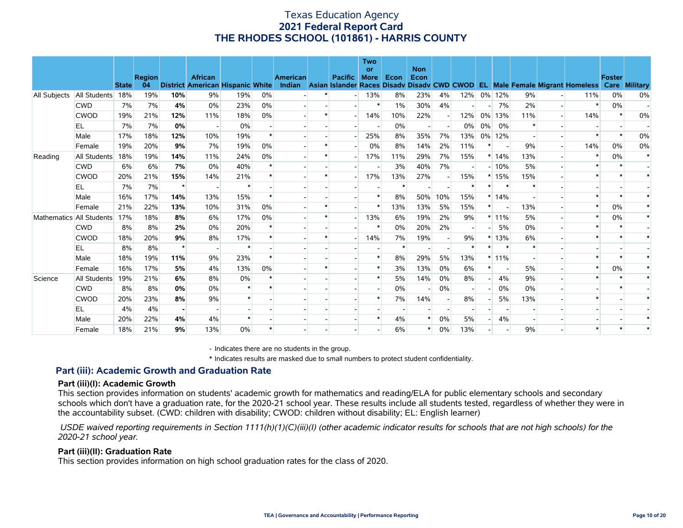|                     |              | <b>State</b> | <b>Region</b><br>04 |                | <b>African</b><br><b>District American Hispanic White</b> |        |    | <b>American</b><br>Indian | <b>Pacific</b> | Two<br><b>or</b><br><b>More</b> | Econ   | <b>Non</b><br>Econ |     |     |                          |                          |        | Asian Islander Races Disady Disady CWD CWOD EL Male Female Migrant Homeless | <b>Foster</b><br>Care | <b>Military</b> |
|---------------------|--------------|--------------|---------------------|----------------|-----------------------------------------------------------|--------|----|---------------------------|----------------|---------------------------------|--------|--------------------|-----|-----|--------------------------|--------------------------|--------|-----------------------------------------------------------------------------|-----------------------|-----------------|
| <b>All Subjects</b> | All Students | 18%          | 19%                 | 10%            | 9%                                                        | 19%    | 0% |                           |                | 13%                             | 8%     | 23%                | 4%  | 12% |                          | 0% 12%                   | 9%     | 11%                                                                         | 0%                    | 0%              |
|                     | <b>CWD</b>   | 7%           | 7%                  | 4%             | $0\%$                                                     | 23%    | 0% |                           |                |                                 | 1%     | 30%                | 4%  |     |                          | 7%                       | 2%     | $\ast$                                                                      | 0%                    |                 |
|                     | <b>CWOD</b>  | 19%          | 21%                 | 12%            | 11%                                                       | 18%    | 0% |                           |                | 14%                             | 10%    | 22%                |     | 12% |                          | 0% 13%                   | 11%    | 14%                                                                         |                       | 0%              |
|                     | EL           | 7%           | 7%                  | 0%             |                                                           | 0%     |    |                           |                |                                 | 0%     |                    |     | 0%  | $0\%$                    | 0%                       |        |                                                                             |                       |                 |
|                     | Male         | 17%          | 18%                 | 12%            | 10%                                                       | 19%    |    |                           |                | 25%                             | 8%     | 35%                | 7%  | 13% |                          | 0% 12%                   |        |                                                                             |                       | 0%              |
|                     | Female       | 19%          | 20%                 | 9%             | 7%                                                        | 19%    | 0% |                           |                | 0%                              | 8%     | 14%                | 2%  | 11% | *                        | $\overline{\phantom{a}}$ | 9%     | 14%                                                                         | 0%                    | 0%              |
| Reading             | All Students | 18%          | 19%                 | 14%            | 11%                                                       | 24%    | 0% |                           |                | 17%                             | 11%    | 29%                | 7%  | 15% |                          | $*14%$                   | 13%    |                                                                             | 0%                    |                 |
|                     | <b>CWD</b>   | 6%           | 6%                  | 7%             | 0%                                                        | 40%    |    |                           |                |                                 | 3%     | 40%                | 7%  |     |                          | $-10%$                   | 5%     |                                                                             |                       |                 |
|                     | <b>CWOD</b>  | 20%          | 21%                 | 15%            | 14%                                                       | 21%    |    |                           |                | 17%                             | 13%    | 27%                |     | 15% |                          | $*15%$                   | 15%    |                                                                             |                       |                 |
|                     | EL           | 7%           | 7%                  | $\star$        |                                                           |        |    |                           |                |                                 |        |                    |     |     |                          |                          |        |                                                                             |                       |                 |
|                     | Male         | 16%          | 17%                 | 14%            | 13%                                                       | 15%    |    |                           |                |                                 | 8%     | 50%                | 10% | 15% |                          | $*14%$                   |        |                                                                             |                       |                 |
|                     | Female       | 21%          | 22%                 | 13%            | 10%                                                       | 31%    | 0% |                           |                |                                 | 13%    | 13%                | 5%  | 15% | $\ast$                   | $\overline{\phantom{a}}$ | 13%    |                                                                             | 0%                    |                 |
| Mathematics         | All Students | 17%          | 18%                 | 8%             | 6%                                                        | 17%    | 0% |                           |                | 13%                             | 6%     | 19%                | 2%  | 9%  |                          | $*11\%$                  | 5%     |                                                                             | 0%                    |                 |
|                     | <b>CWD</b>   | 8%           | 8%                  | 2%             | 0%                                                        | 20%    |    |                           |                |                                 | 0%     | 20%                | 2%  |     |                          | 5%                       | 0%     |                                                                             |                       |                 |
|                     | <b>CWOD</b>  | 18%          | 20%                 | 9%             | 8%                                                        | 17%    |    |                           |                | 14%                             | 7%     | 19%                |     | 9%  |                          | 13%                      | 6%     |                                                                             |                       |                 |
|                     | EL           | 8%           | 8%                  | $\star$        |                                                           | $\ast$ |    |                           |                |                                 | $\ast$ |                    |     | ∗   |                          | $\ast$                   | $\ast$ |                                                                             |                       |                 |
|                     | Male         | 18%          | 19%                 | 11%            | 9%                                                        | 23%    |    |                           |                |                                 | 8%     | 29%                | 5%  | 13% |                          | $*11\%$                  |        |                                                                             |                       |                 |
|                     | Female       | 16%          | 17%                 | 5%             | 4%                                                        | 13%    | 0% |                           |                |                                 | 3%     | 13%                | 0%  | 6%  |                          |                          | 5%     |                                                                             | 0%                    |                 |
| Science             | All Students | 19%          | 21%                 | 6%             | 8%                                                        | 0%     |    |                           |                |                                 | 5%     | 14%                | 0%  | 8%  |                          | 4%                       | 9%     |                                                                             |                       |                 |
|                     | <b>CWD</b>   | 8%           | 8%                  | 0%             | 0%                                                        |        |    |                           |                |                                 | 0%     |                    | 0%  |     |                          | 0%                       | $0\%$  |                                                                             |                       |                 |
|                     | <b>CWOD</b>  | 20%          | 23%                 | 8%             | 9%                                                        |        |    |                           |                |                                 | 7%     | 14%                |     | 8%  |                          | 5%                       | 13%    |                                                                             |                       |                 |
|                     | EL.          | 4%           | 4%                  | $\blacksquare$ |                                                           |        |    |                           |                |                                 |        |                    |     |     |                          |                          |        |                                                                             |                       |                 |
|                     | Male         | 20%          | 22%                 | 4%             | 4%                                                        |        |    |                           |                |                                 | 4%     | $\ast$             | 0%  | 5%  | $\overline{\phantom{a}}$ | 4%                       |        |                                                                             |                       |                 |
|                     | Female       | 18%          | 21%                 | 9%             | 13%                                                       | 0%     |    |                           |                |                                 | 6%     |                    | 0%  | 13% |                          |                          | 9%     |                                                                             |                       |                 |

- Indicates there are no students in the group.

\* Indicates results are masked due to small numbers to protect student confidentiality.

### **Part (iii): Academic Growth and Graduation Rate**

#### **Part (iii)(I): Academic Growth**

This section provides information on students' academic growth for mathematics and reading/ELA for public elementary schools and secondary schools which don't have a graduation rate, for the 2020-21 school year. These results include all students tested, regardless of whether they were in the accountability subset. (CWD: children with disability; CWOD: children without disability; EL: English learner)

 *USDE waived reporting requirements in Section 1111(h)(1)(C)(iii)(I) (other academic indicator results for schools that are not high schools) for the 2020-21 school year.*

#### **Part (iii)(II): Graduation Rate**

This section provides information on high school graduation rates for the class of 2020.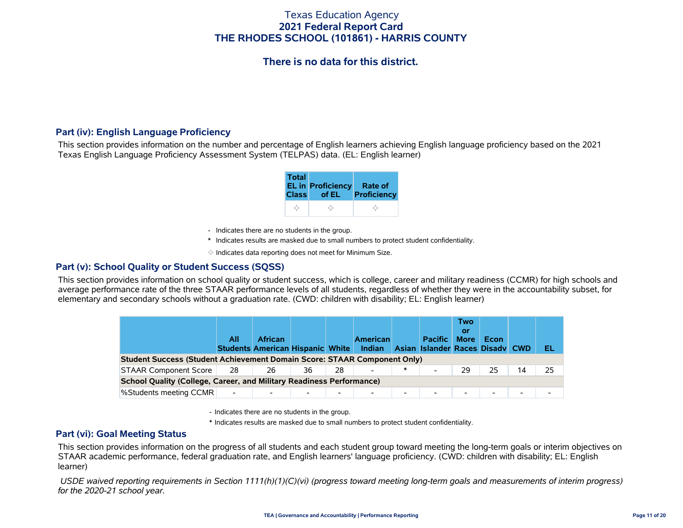# **There is no data for this district.**

### **Part (iv): English Language Proficiency**

This section provides information on the number and percentage of English learners achieving English language proficiency based on the 2021 Texas English Language Proficiency Assessment System (TELPAS) data. (EL: English learner)

| <b>Total</b> | EL in Proficiency Rate of<br>Class of EL | <b>Proficiency</b> |
|--------------|------------------------------------------|--------------------|
|              |                                          |                    |

- Indicates there are no students in the group.
- \* Indicates results are masked due to small numbers to protect student confidentiality.

 $\diamond$  Indicates data reporting does not meet for Minimum Size.

### **Part (v): School Quality or Student Success (SQSS)**

This section provides information on school quality or student success, which is college, career and military readiness (CCMR) for high schools and average performance rate of the three STAAR performance levels of all students, regardless of whether they were in the accountability subset, for elementary and secondary schools without a graduation rate. (CWD: children with disability; EL: English learner)

|                                                                             | All                      | <b>African</b><br><b>Students American Hispanic White</b> |    |                          | <b>American</b><br><b>Indian</b> |                          | <b>Pacific</b><br>Asian Islander Races Disady CWD | Two<br>or<br><b>More</b> | Econ |    | EL |
|-----------------------------------------------------------------------------|--------------------------|-----------------------------------------------------------|----|--------------------------|----------------------------------|--------------------------|---------------------------------------------------|--------------------------|------|----|----|
| Student Success (Student Achievement Domain Score: STAAR Component Only)    |                          |                                                           |    |                          |                                  |                          |                                                   |                          |      |    |    |
| <b>STAAR Component Score</b>                                                | 28                       | 26                                                        | 36 | 28                       |                                  | $\ast$                   | $\blacksquare$                                    | 29                       | 25   | 14 | 25 |
| <b>School Quality (College, Career, and Military Readiness Performance)</b> |                          |                                                           |    |                          |                                  |                          |                                                   |                          |      |    |    |
| <b>%Students meeting CCMR</b>                                               | $\overline{\phantom{a}}$ |                                                           |    | $\overline{\phantom{0}}$ |                                  | $\overline{\phantom{0}}$ | $\overline{\phantom{a}}$                          | $\overline{\phantom{0}}$ | -    |    |    |

- Indicates there are no students in the group.

\* Indicates results are masked due to small numbers to protect student confidentiality.

### **Part (vi): Goal Meeting Status**

This section provides information on the progress of all students and each student group toward meeting the long-term goals or interim objectives on STAAR academic performance, federal graduation rate, and English learners' language proficiency. (CWD: children with disability; EL: English learner)

 *USDE waived reporting requirements in Section 1111(h)(1)(C)(vi) (progress toward meeting long-term goals and measurements of interim progress) for the 2020-21 school year.*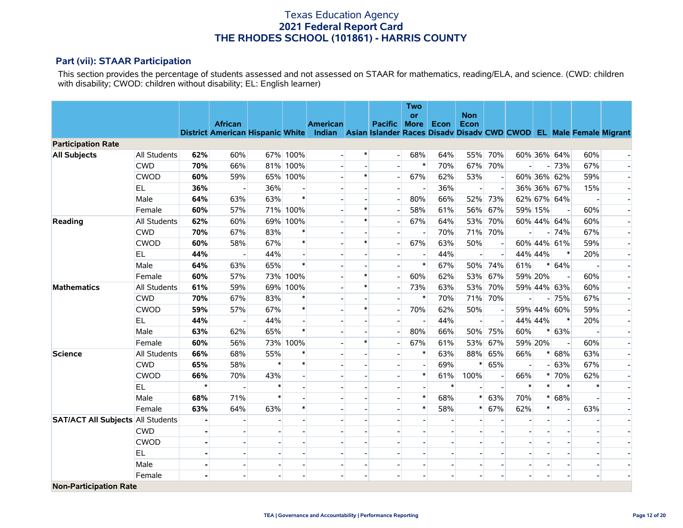### **Part (vii): STAAR Participation**

This section provides the percentage of students assessed and not assessed on STAAR for mathematics, reading/ELA, and science. (CWD: children with disability; CWOD: children without disability; EL: English learner)

|                                          |                     |         |                                                                                                            |                          |                |                          |                          |                          | Two                      |        |                    |     |         |                |                          |     |    |
|------------------------------------------|---------------------|---------|------------------------------------------------------------------------------------------------------------|--------------------------|----------------|--------------------------|--------------------------|--------------------------|--------------------------|--------|--------------------|-----|---------|----------------|--------------------------|-----|----|
|                                          |                     |         | <b>African</b>                                                                                             |                          |                | <b>American</b>          |                          | Pacific More             | <b>or</b>                | Econ   | <b>Non</b><br>Econ |     |         |                |                          |     |    |
|                                          |                     |         | District American Hispanic White Indian Asian Islander Races Disadv Disadv CWD CWOD EL Male Female Migrant |                          |                |                          |                          |                          |                          |        |                    |     |         |                |                          |     |    |
| <b>Participation Rate</b>                |                     |         |                                                                                                            |                          |                |                          |                          |                          |                          |        |                    |     |         |                |                          |     |    |
| <b>All Subjects</b>                      | <b>All Students</b> | 62%     | 60%                                                                                                        |                          | 67% 100%       |                          | $\ast$                   |                          | 68%                      | 64%    | 55%                | 70% |         |                | 60% 36% 64%              | 60% |    |
|                                          | <b>CWD</b>          | 70%     | 66%                                                                                                        |                          | 81% 100%       |                          |                          |                          | $\ast$                   | 70%    | 67%                | 70% |         |                | $-73%$                   | 67% |    |
|                                          | <b>CWOD</b>         | 60%     | 59%                                                                                                        |                          | 65% 100%       |                          | $\ast$                   |                          | 67%                      | 62%    | 53%                |     |         |                | 60% 36% 62%              | 59% |    |
|                                          | <b>EL</b>           | 36%     |                                                                                                            | 36%                      |                |                          |                          |                          |                          | 36%    |                    |     |         |                | 36% 36% 67%              | 15% |    |
|                                          | Male                | 64%     | 63%                                                                                                        | 63%                      | $\ast$         |                          |                          |                          | 80%                      | 66%    | 52%                | 73% |         |                | 62% 67% 64%              |     |    |
|                                          | Female              | 60%     | 57%                                                                                                        |                          | 71% 100%       |                          | $\ast$                   |                          | 58%                      | 61%    | 56%                | 67% | 59% 15% |                | $\overline{\phantom{a}}$ | 60% |    |
| Reading                                  | All Students        | 62%     | 60%                                                                                                        |                          | 69% 100%       |                          | $\ast$                   |                          | 67%                      | 64%    | 53%                | 70% |         |                | 60% 44% 64%              | 60% | ÷. |
|                                          | <b>CWD</b>          | 70%     | 67%                                                                                                        | 83%                      | $\ast$         |                          |                          |                          |                          | 70%    | 71%                | 70% |         |                | $-74%$                   | 67% |    |
|                                          | <b>CWOD</b>         | 60%     | 58%                                                                                                        | 67%                      | $\ast$         |                          | $\ast$                   |                          | 67%                      | 63%    | 50%                |     |         |                | 60% 44% 61%              | 59% |    |
|                                          | <b>EL</b>           | 44%     |                                                                                                            | 44%                      |                |                          |                          |                          |                          | 44%    |                    |     | 44% 44% |                | $\ast$                   | 20% |    |
|                                          | Male                | 64%     | 63%                                                                                                        | 65%                      | $\ast$         |                          |                          |                          | $\ast$                   | 67%    | 50%                | 74% | 61%     |                | $* 64%$                  |     |    |
|                                          | Female              | 60%     | 57%                                                                                                        |                          | 73% 100%       |                          | $\ast$                   |                          | 60%                      | 62%    | 53%                | 67% | 59% 20% |                |                          | 60% |    |
| <b>Mathematics</b>                       | All Students        | 61%     | 59%                                                                                                        |                          | 69% 100%       |                          | $\ast$                   |                          | 73%                      | 63%    | 53%                | 70% |         |                | 59% 44% 63%              | 60% |    |
|                                          | <b>CWD</b>          | 70%     | 67%                                                                                                        | 83%                      | $\ast$         |                          |                          |                          | $\ast$                   | 70%    | 71%                | 70% |         |                | $-75%$                   | 67% |    |
|                                          | <b>CWOD</b>         | 59%     | 57%                                                                                                        | 67%                      | $\ast$         |                          | $\ast$                   |                          | 70%                      | 62%    | 50%                |     |         |                | 59% 44% 60%              | 59% |    |
|                                          | <b>EL</b>           | 44%     | $\blacksquare$                                                                                             | 44%                      | $\overline{a}$ |                          |                          |                          |                          | 44%    | $\blacksquare$     |     | 44% 44% |                | $\ast$                   | 20% |    |
|                                          | Male                | 63%     | 62%                                                                                                        | 65%                      | $\ast$         |                          |                          |                          | 80%                      | 66%    | 50%                | 75% | 60%     |                | $* 63%$                  |     |    |
|                                          | Female              | 60%     | 56%                                                                                                        |                          | 73% 100%       |                          | $\ast$                   |                          | 67%                      | 61%    | 53%                | 67% | 59% 20% |                |                          | 60% |    |
| <b>Science</b>                           | <b>All Students</b> | 66%     | 68%                                                                                                        | 55%                      | $\ast$         |                          |                          |                          | $\ast$                   | 63%    | 88%                | 65% | 66%     |                | * 68%                    | 63% |    |
|                                          | <b>CWD</b>          | 65%     | 58%                                                                                                        | $\ast$                   | $\ast$         |                          |                          |                          |                          | 69%    | $\pmb{\ast}$       | 65% |         |                | $-63%$                   | 67% |    |
|                                          | <b>CWOD</b>         | 66%     | 70%                                                                                                        | 43%                      |                |                          |                          |                          | $\ast$                   | 61%    | 100%               |     | 66%     |                | $* 70%$                  | 62% |    |
|                                          | <b>EL</b>           | $\star$ |                                                                                                            | *                        |                |                          |                          |                          |                          | $\ast$ |                    |     | $\ast$  | $\ast$         | $\ast$                   |     |    |
|                                          | Male                | 68%     | 71%                                                                                                        | $\ast$                   |                |                          |                          |                          | $\ast$                   | 68%    | $\ast$             | 63% | 70%     | $\ast$         | 68%                      |     |    |
|                                          | Female              | 63%     | 64%                                                                                                        | 63%                      | $\ast$         |                          |                          |                          | $\ast$                   | 58%    | $\ast$             | 67% | 62%     | $\ast$         | $\overline{\phantom{a}}$ | 63% |    |
| <b>SAT/ACT All Subjects All Students</b> |                     |         | $\overline{a}$                                                                                             |                          |                |                          |                          |                          |                          |        |                    |     |         | ٠              | $\blacksquare$           |     |    |
|                                          | <b>CWD</b>          |         |                                                                                                            |                          |                |                          |                          |                          |                          |        |                    |     |         |                |                          |     |    |
|                                          | <b>CWOD</b>         |         |                                                                                                            |                          |                |                          |                          |                          |                          |        |                    |     |         |                |                          |     |    |
|                                          | <b>EL</b>           |         |                                                                                                            |                          |                |                          |                          |                          |                          |        |                    |     |         |                |                          |     |    |
|                                          | Male                |         | $\blacksquare$                                                                                             | $\overline{\phantom{a}}$ |                | $\overline{\phantom{a}}$ | $\overline{\phantom{a}}$ | $\overline{\phantom{a}}$ | $\overline{\phantom{a}}$ |        |                    |     |         | $\overline{a}$ | $\overline{\phantom{a}}$ |     |    |
|                                          | Female              |         |                                                                                                            |                          |                |                          |                          |                          |                          |        |                    |     |         |                |                          |     |    |
| <b>Non-Participation Rate</b>            |                     |         |                                                                                                            |                          |                |                          |                          |                          |                          |        |                    |     |         |                |                          |     |    |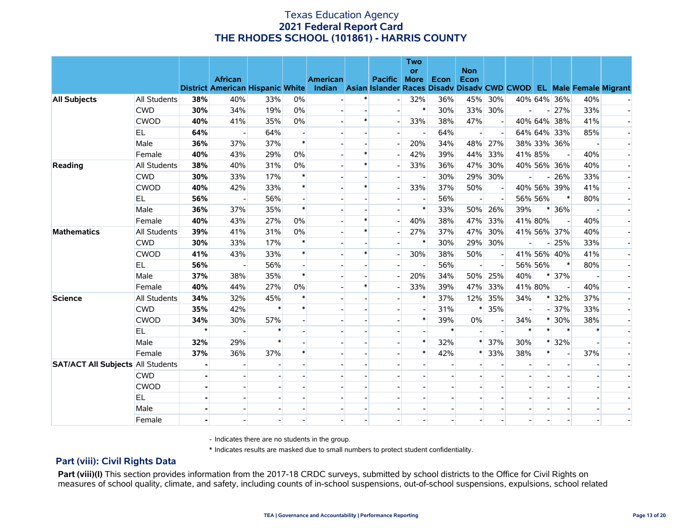|                                          |              |         |                                         |        |                          |                                                                           |        |                     | <b>Two</b> |        |                    |     |     |         |                |     |  |
|------------------------------------------|--------------|---------|-----------------------------------------|--------|--------------------------|---------------------------------------------------------------------------|--------|---------------------|------------|--------|--------------------|-----|-----|---------|----------------|-----|--|
|                                          |              |         | <b>African</b>                          |        |                          | <b>American</b>                                                           |        | <b>Pacific More</b> | or         | Econ   | <b>Non</b><br>Econ |     |     |         |                |     |  |
|                                          |              |         | <b>District American Hispanic White</b> |        |                          | Indian Asian Islander Races Disady Disady CWD CWOD EL Male Female Migrant |        |                     |            |        |                    |     |     |         |                |     |  |
| <b>All Subjects</b>                      | All Students | 38%     | 40%                                     | 33%    | 0%                       |                                                                           |        |                     | 32%        | 36%    | 45%                | 30% |     |         | 40% 64% 36%    | 40% |  |
|                                          | <b>CWD</b>   | 30%     | 34%                                     | 19%    | $0\%$                    |                                                                           |        |                     | $\ast$     | 30%    | 33%                | 30% |     |         | $-27%$         | 33% |  |
|                                          | <b>CWOD</b>  | 40%     | 41%                                     | 35%    | 0%                       |                                                                           | $\ast$ |                     | 33%        | 38%    | 47%                |     |     |         | 40% 64% 38%    | 41% |  |
|                                          | EL.          | 64%     |                                         | 64%    |                          |                                                                           |        |                     |            | 64%    |                    |     |     |         | 64% 64% 33%    | 85% |  |
|                                          | Male         | 36%     | 37%                                     | 37%    | $\ast$                   |                                                                           |        |                     | 20%        | 34%    | 48%                | 27% |     |         | 38% 33% 36%    |     |  |
|                                          | Female       | 40%     | 43%                                     | 29%    | 0%                       |                                                                           | $\ast$ |                     | 42%        | 39%    | 44%                | 33% |     | 41% 85% |                | 40% |  |
| Reading                                  | All Students | 38%     | 40%                                     | 31%    | 0%                       |                                                                           | $\ast$ |                     | 33%        | 36%    | 47%                | 30% |     |         | 40% 56% 36%    | 40% |  |
|                                          | <b>CWD</b>   | 30%     | 33%                                     | 17%    | $\ast$                   |                                                                           |        |                     |            | 30%    | 29%                | 30% |     |         | $-26%$         | 33% |  |
|                                          | <b>CWOD</b>  | 40%     | 42%                                     | 33%    | $\ast$                   |                                                                           | $\ast$ |                     | 33%        | 37%    | 50%                |     |     |         | 40% 56% 39%    | 41% |  |
|                                          | EL.          | 56%     |                                         | 56%    |                          |                                                                           |        |                     |            | 56%    |                    |     |     | 56% 56% | $\ast$         | 80% |  |
|                                          | Male         | 36%     | 37%                                     | 35%    | $\ast$                   |                                                                           |        |                     | $\ast$     | 33%    | 50%                | 26% | 39% |         | $*136%$        |     |  |
|                                          | Female       | 40%     | 43%                                     | 27%    | 0%                       |                                                                           | $\ast$ |                     | 40%        | 38%    | 47%                | 33% |     | 41% 80% |                | 40% |  |
| <b>Mathematics</b>                       | All Students | 39%     | 41%                                     | 31%    | $0\%$                    |                                                                           | $\ast$ |                     | 27%        | 37%    | 47%                | 30% |     |         | 41% 56% 37%    | 40% |  |
|                                          | <b>CWD</b>   | 30%     | 33%                                     | 17%    | $\ast$                   |                                                                           |        |                     | $\ast$     | 30%    | 29%                | 30% |     |         | $-25%$         | 33% |  |
|                                          | <b>CWOD</b>  | 41%     | 43%                                     | 33%    | $\ast$                   |                                                                           | $\ast$ |                     | 30%        | 38%    | 50%                |     |     |         | 41% 56% 40%    | 41% |  |
|                                          | EL.          | 56%     | $\overline{a}$                          | 56%    | $\overline{\phantom{a}}$ |                                                                           |        |                     |            | 56%    |                    |     |     | 56% 56% | $\ast$         | 80% |  |
|                                          | Male         | 37%     | 38%                                     | 35%    | $\ast$                   |                                                                           |        |                     | 20%        | 34%    | 50%                | 25% | 40% |         | $* 37%$        |     |  |
|                                          | Female       | 40%     | 44%                                     | 27%    | $0\%$                    |                                                                           | $\ast$ |                     | 33%        | 39%    | 47%                | 33% |     | 41% 80% |                | 40% |  |
| <b>Science</b>                           | All Students | 34%     | 32%                                     | 45%    | $\ast$                   |                                                                           |        |                     |            | 37%    | 12%                | 35% | 34% |         | * 32%          | 37% |  |
|                                          | <b>CWD</b>   | 35%     | 42%                                     | $\ast$ | $\ast$                   |                                                                           |        |                     |            | 31%    | $\ast$             | 35% |     |         | $-37%$         | 33% |  |
|                                          | <b>CWOD</b>  | 34%     | 30%                                     | 57%    |                          |                                                                           |        |                     | $\ast$     | 39%    | $0\%$              |     | 34% |         | $*30\%$        | 38% |  |
|                                          | EL.          | $\star$ | $\overline{\phantom{a}}$                |        |                          |                                                                           |        |                     |            | $\ast$ |                    |     |     | $\ast$  | $\ast$         |     |  |
|                                          | Male         | 32%     | 29%                                     | $\ast$ |                          |                                                                           |        |                     | $\ast$     | 32%    |                    | 37% | 30% | $\ast$  | 32%            |     |  |
|                                          | Female       | 37%     | 36%                                     | 37%    | $\ast$                   |                                                                           |        |                     | $\ast$     | 42%    | *                  | 33% | 38% | $\ast$  | $\blacksquare$ | 37% |  |
| <b>SAT/ACT All Subjects All Students</b> |              |         |                                         |        |                          |                                                                           |        |                     |            |        |                    |     |     |         |                |     |  |
|                                          | <b>CWD</b>   |         |                                         |        |                          |                                                                           |        |                     |            |        |                    |     |     |         |                |     |  |
|                                          | <b>CWOD</b>  |         |                                         |        |                          |                                                                           |        |                     |            |        |                    |     |     |         |                |     |  |
|                                          | EL           |         |                                         |        |                          |                                                                           |        |                     |            |        |                    |     |     |         |                |     |  |
|                                          | Male         |         |                                         |        |                          |                                                                           |        |                     |            |        |                    |     |     |         |                |     |  |
|                                          | Female       |         |                                         |        |                          |                                                                           |        |                     |            |        |                    |     |     |         |                |     |  |

- Indicates there are no students in the group.

\* Indicates results are masked due to small numbers to protect student confidentiality.

### **Part (viii): Civil Rights Data**

Part (viii)(I) This section provides information from the 2017-18 CRDC surveys, submitted by school districts to the Office for Civil Rights on measures of school quality, climate, and safety, including counts of in-school suspensions, out-of-school suspensions, expulsions, school related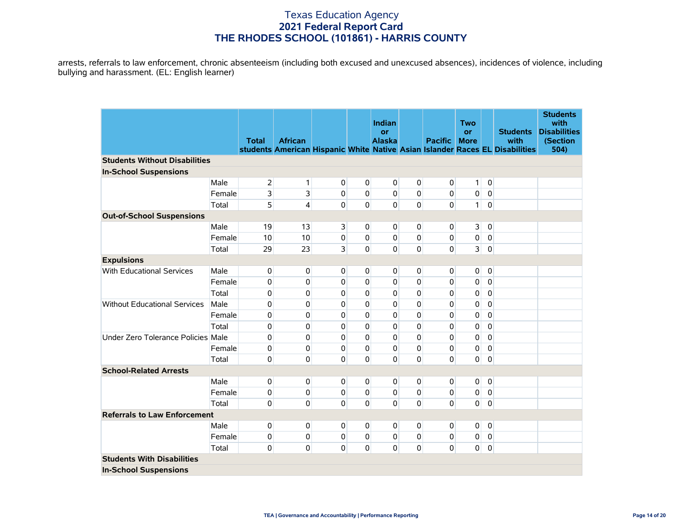arrests, referrals to law enforcement, chronic absenteeism (including both excused and unexcused absences), incidences of violence, including bullying and harassment. (EL: English learner)

|                                      |        |                |                |                         |                | Indian                     |             |                | <b>Two</b>              |                |                                                                                                         | <b>Students</b><br>with                 |
|--------------------------------------|--------|----------------|----------------|-------------------------|----------------|----------------------------|-------------|----------------|-------------------------|----------------|---------------------------------------------------------------------------------------------------------|-----------------------------------------|
|                                      |        | <b>Total</b>   | <b>African</b> |                         |                | <b>or</b><br><b>Alaska</b> |             | <b>Pacific</b> | or<br><b>More</b>       |                | <b>Students</b><br>with<br>students American Hispanic White Native Asian Islander Races EL Disabilities | <b>Disabilities</b><br>(Section<br>504) |
| <b>Students Without Disabilities</b> |        |                |                |                         |                |                            |             |                |                         |                |                                                                                                         |                                         |
| <b>In-School Suspensions</b>         |        |                |                |                         |                |                            |             |                |                         |                |                                                                                                         |                                         |
|                                      | Male   | $\overline{2}$ | $\mathbf{1}$   | $\overline{0}$          | $\mathbf 0$    | $\overline{0}$             | 0           | $\mathbf 0$    | 1                       | $\overline{0}$ |                                                                                                         |                                         |
|                                      | Female | 3              | 3              | 0                       | $\pmb{0}$      | $\overline{0}$             | $\mathbf 0$ | $\mathbf 0$    | $\mathbf 0$             | $\overline{0}$ |                                                                                                         |                                         |
|                                      | Total  | 5              | 4              | 0                       | 0              | 0                          | $\mathbf 0$ | $\mathbf 0$    | 1 <sup>1</sup>          | $\mathbf 0$    |                                                                                                         |                                         |
| <b>Out-of-School Suspensions</b>     |        |                |                |                         |                |                            |             |                |                         |                |                                                                                                         |                                         |
|                                      | Male   | 19             | 13             | $\overline{\mathbf{3}}$ | $\overline{0}$ | $\overline{0}$             | 0           | 0              | $\overline{\mathbf{3}}$ | $\overline{0}$ |                                                                                                         |                                         |
|                                      | Female | 10             | 10             | $\pmb{0}$               | $\mathbf 0$    | $\mathbf 0$                | $\mathbf 0$ | 0              | $\pmb{0}$               | $\overline{0}$ |                                                                                                         |                                         |
|                                      | Total  | 29             | 23             | $\overline{\mathbf{3}}$ | $\Omega$       | $\overline{0}$             | $\mathbf 0$ | $\Omega$       | $\overline{\mathbf{3}}$ | $\mathbf 0$    |                                                                                                         |                                         |
| <b>Expulsions</b>                    |        |                |                |                         |                |                            |             |                |                         |                |                                                                                                         |                                         |
| With Educational Services            | Male   | 0              | 0              | 0                       | 0              | $\overline{0}$             | 0           | 0              | $\overline{0}$          | $\mathbf 0$    |                                                                                                         |                                         |
|                                      | Female | 0              | 0              | 0                       | $\mathbf 0$    | $\mathbf 0$                | 0           | 0              | 0                       | 0              |                                                                                                         |                                         |
|                                      | Total  | 0              | 0              | 0                       | $\mathbf 0$    | 0                          | $\mathbf 0$ | $\mathbf 0$    | 0                       | $\mathbf 0$    |                                                                                                         |                                         |
| <b>Without Educational Services</b>  | Male   | 0              | 0              | 0                       | $\Omega$       | $\Omega$                   | 0           | 0              | 0                       | $\mathbf 0$    |                                                                                                         |                                         |
|                                      | Female | 0              | 0              | 0                       | $\Omega$       | 0                          | $\mathbf 0$ | 0              | 0                       | 0              |                                                                                                         |                                         |
|                                      | Total  | 0              | 0              | 0                       | $\mathbf 0$    | $\mathbf 0$                | $\mathbf 0$ | 0              | 0                       | $\mathbf 0$    |                                                                                                         |                                         |
| Under Zero Tolerance Policies Male   |        | 0              | 0              | 0                       | $\mathbf{0}$   | 0                          | $\mathbf 0$ | $\mathbf 0$    | 0                       | $\mathbf 0$    |                                                                                                         |                                         |
|                                      | Female | 0              | 0              | $\mathbf 0$             | $\Omega$       | $\mathbf 0$                | 0           | $\pmb{0}$      | 0                       | $\overline{0}$ |                                                                                                         |                                         |
|                                      | Total  | 0              | 0              | 0                       | $\Omega$       | $\overline{0}$             | $\mathbf 0$ | $\Omega$       | $\mathbf{0}$            | $\mathbf 0$    |                                                                                                         |                                         |
| <b>School-Related Arrests</b>        |        |                |                |                         |                |                            |             |                |                         |                |                                                                                                         |                                         |
|                                      | Male   | 0              | 0              | 0                       | $\mathbf 0$    | $\mathbf 0$                | $\mathbf 0$ | 0              | 0                       | $\mathbf 0$    |                                                                                                         |                                         |
|                                      | Female | 0              | $\mathbf 0$    | $\mathbf 0$             | $\overline{0}$ | $\mathbf 0$                | $\mathbf 0$ | $\pmb{0}$      | $\mathbf 0$             | $\overline{0}$ |                                                                                                         |                                         |
|                                      | Total  | 0              | $\mathbf{0}$   | 0                       | $\Omega$       | $\overline{0}$             | $\mathbf 0$ | $\Omega$       | $\mathbf{0}$            | $\mathbf 0$    |                                                                                                         |                                         |
| <b>Referrals to Law Enforcement</b>  |        |                |                |                         |                |                            |             |                |                         |                |                                                                                                         |                                         |
|                                      | Male   | 0              | 0              | $\overline{0}$          | 0              | $\mathbf 0$                | 0           | 0              | $\mathbf 0$             | $\overline{0}$ |                                                                                                         |                                         |
|                                      | Female | 0              | 0              | 0                       | $\mathbf 0$    | $\mathbf 0$                | 0           | 0              | 0                       | $\overline{0}$ |                                                                                                         |                                         |
|                                      | Total  | 0              | 0              | $\overline{0}$          | $\mathbf 0$    | $\overline{0}$             | 0           | 0              | $\mathbf 0$             | $\mathbf 0$    |                                                                                                         |                                         |
| <b>Students With Disabilities</b>    |        |                |                |                         |                |                            |             |                |                         |                |                                                                                                         |                                         |
| <b>In-School Suspensions</b>         |        |                |                |                         |                |                            |             |                |                         |                |                                                                                                         |                                         |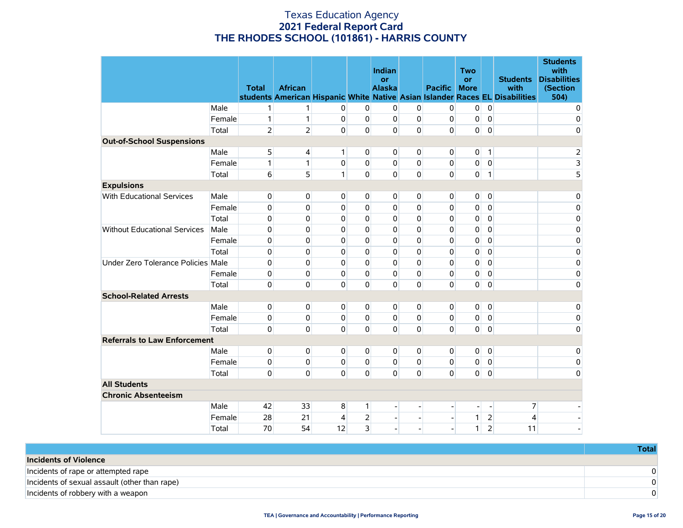|                                     |        | <b>Total</b>   | <b>African</b> |                |                | <b>Indian</b><br>or<br><b>Alaska</b> |                | <b>Pacific</b>               | <b>Two</b><br><b>or</b><br><b>More</b> |                | <b>Students</b><br>with<br>students American Hispanic White Native Asian Islander Races EL Disabilities | <b>Students</b><br>with<br><b>Disabilities</b><br>(Section<br>504) |
|-------------------------------------|--------|----------------|----------------|----------------|----------------|--------------------------------------|----------------|------------------------------|----------------------------------------|----------------|---------------------------------------------------------------------------------------------------------|--------------------------------------------------------------------|
|                                     | Male   | 1              | 1              | $\mathbf{0}$   | $\overline{0}$ | 0                                    | 0              | $\overline{0}$               | 0                                      | $\mathbf 0$    |                                                                                                         | 0                                                                  |
|                                     | Female | 1              | 1              | $\overline{0}$ | $\Omega$       | $\overline{0}$                       | $\Omega$       | 0                            | 0                                      | $\mathbf{0}$   |                                                                                                         | 0                                                                  |
|                                     | Total  | $\overline{2}$ | $\overline{2}$ | $\Omega$       | $\Omega$       | $\Omega$                             | $\Omega$       | $\Omega$                     | 0                                      | $\mathbf 0$    |                                                                                                         | 0                                                                  |
| <b>Out-of-School Suspensions</b>    |        |                |                |                |                |                                      |                |                              |                                        |                |                                                                                                         |                                                                    |
|                                     | Male   | 5              | 4              | 1 <sup>1</sup> | $\overline{0}$ | $\overline{0}$                       | 0              | $\overline{0}$               | 0                                      | 1              |                                                                                                         | $\overline{2}$                                                     |
|                                     | Female | 1              | 1              | $\overline{0}$ | $\overline{0}$ | $\overline{0}$                       | $\mathbf 0$    | $\overline{0}$               | 0                                      | $\mathbf 0$    |                                                                                                         | $\overline{\mathbf{3}}$                                            |
|                                     | Total  | 6              | 5              | 1              | $\Omega$       | $\Omega$                             | $\mathbf 0$    | $\Omega$                     | 0                                      | $\mathbf{1}$   |                                                                                                         | $\overline{5}$                                                     |
| <b>Expulsions</b>                   |        |                |                |                |                |                                      |                |                              |                                        |                |                                                                                                         |                                                                    |
| With Educational Services           | Male   | $\mathbf 0$    | 0              | $\overline{0}$ | $\overline{0}$ | $\overline{0}$                       | 0              | $\overline{0}$               | $\overline{0}$                         | $\mathbf 0$    |                                                                                                         | 0                                                                  |
|                                     | Female | 0              | 0              | $\Omega$       | $\Omega$       | $\Omega$                             | 0              | $\Omega$                     | 0                                      | 0              |                                                                                                         | $\mathbf 0$                                                        |
|                                     | Total  | 0              | 0              | $\Omega$       | $\Omega$       | 0                                    | $\Omega$       | 0                            | 0                                      | 0              |                                                                                                         | 0                                                                  |
| <b>Without Educational Services</b> | Male   | 0              | 0              | $\Omega$       | $\Omega$       | $\Omega$                             | $\Omega$       | $\Omega$                     | 0                                      | $\Omega$       |                                                                                                         | 0                                                                  |
|                                     | Female | 0              | 0              | 0              | $\mathbf 0$    | 0                                    | 0              | 0                            | 0                                      | 0              |                                                                                                         | $\pmb{0}$                                                          |
|                                     | Total  | 0              | 0              | $\mathbf 0$    | $\Omega$       | $\Omega$                             | $\mathbf 0$    | 0                            | 0                                      | 0              |                                                                                                         | $\pmb{0}$                                                          |
| Under Zero Tolerance Policies Male  |        | 0              | 0              | $\Omega$       | $\Omega$       | $\Omega$                             | 0              | 0                            | 0                                      | $\Omega$       |                                                                                                         | 0                                                                  |
|                                     | Female | 0              | 0              | $\Omega$       | $\Omega$       | $\Omega$                             | 0              | 0                            | 0                                      | 0              |                                                                                                         | $\pmb{0}$                                                          |
|                                     | Total  | 0              | 0              | $\Omega$       | $\Omega$       | $\Omega$                             | 0              | $\Omega$                     | 0                                      | $\mathbf 0$    |                                                                                                         | 0                                                                  |
| <b>School-Related Arrests</b>       |        |                |                |                |                |                                      |                |                              |                                        |                |                                                                                                         |                                                                    |
|                                     | Male   | $\mathbf 0$    | 0              | $\overline{0}$ | $\overline{0}$ | $\overline{0}$                       | 0              | $\overline{0}$               | $\overline{0}$                         | $\mathbf 0$    |                                                                                                         | 0                                                                  |
|                                     | Female | 0              | 0              | $\Omega$       | $\Omega$       | $\overline{0}$                       | $\Omega$       | $\Omega$                     | 0                                      | $\mathbf 0$    |                                                                                                         | $\mathbf 0$                                                        |
|                                     | Total  | 0              | 0              | $\Omega$       | 0              | $\Omega$                             | $\mathbf 0$    | $\mathbf{0}$                 | 0                                      | $\pmb{0}$      |                                                                                                         | $\mathbf 0$                                                        |
| <b>Referrals to Law Enforcement</b> |        |                |                |                |                |                                      |                |                              |                                        |                |                                                                                                         |                                                                    |
|                                     | Male   | 0              | 0              | $\mathbf{0}$   | $\overline{0}$ | 0                                    | 0              | 0                            | 0                                      | $\mathbf 0$    |                                                                                                         | 0                                                                  |
|                                     | Female | 0              | 0              | $\mathbf{0}$   | $\mathbf{0}$   | 0                                    | $\mathbf 0$    | 0                            | 0                                      | $\mathbf 0$    |                                                                                                         | $\pmb{0}$                                                          |
|                                     | Total  | 0              | 0              | $\Omega$       | $\Omega$       | $\Omega$                             | $\mathbf 0$    | $\mathbf{0}$                 | $\overline{0}$                         | $\mathbf{0}$   |                                                                                                         | 0                                                                  |
| <b>All Students</b>                 |        |                |                |                |                |                                      |                |                              |                                        |                |                                                                                                         |                                                                    |
| <b>Chronic Absenteeism</b>          |        |                |                |                |                |                                      |                |                              |                                        |                |                                                                                                         |                                                                    |
|                                     | Male   | 42             | 33             | 8              | 1              |                                      |                |                              | -                                      | $\overline{a}$ | 7                                                                                                       |                                                                    |
|                                     | Female | 28             | 21             | 4              | $\overline{2}$ | $\Box$                               | $\overline{a}$ | $\qquad \qquad \blacksquare$ | 1                                      | $\overline{2}$ | 4                                                                                                       |                                                                    |
|                                     | Total  | 70             | 54             | 12             | 3              | $\overline{\phantom{a}}$             |                |                              | 1                                      | $\overline{2}$ | 11                                                                                                      |                                                                    |

|                                               | Total |
|-----------------------------------------------|-------|
| <b>Incidents of Violence</b>                  |       |
| Incidents of rape or attempted rape           |       |
| Incidents of sexual assault (other than rape) |       |
| Incidents of robbery with a weapon            |       |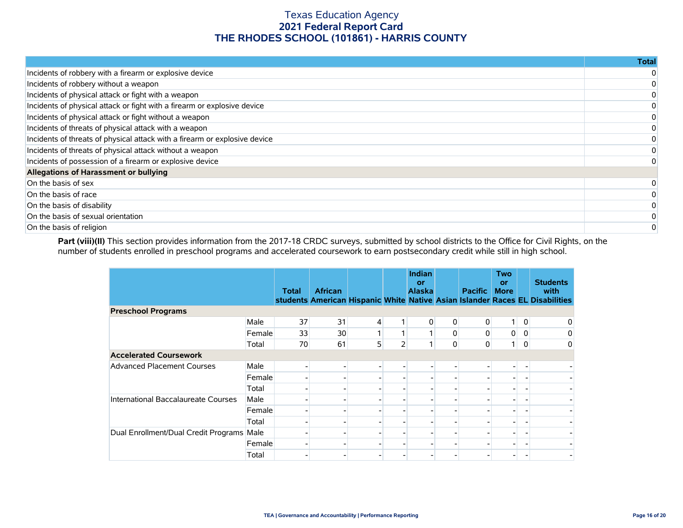|                                                                            | <b>Total</b> |
|----------------------------------------------------------------------------|--------------|
| Incidents of robbery with a firearm or explosive device                    |              |
| Incidents of robbery without a weapon                                      |              |
| Incidents of physical attack or fight with a weapon                        |              |
| Incidents of physical attack or fight with a firearm or explosive device   |              |
| Incidents of physical attack or fight without a weapon                     |              |
| Incidents of threats of physical attack with a weapon                      |              |
| Incidents of threats of physical attack with a firearm or explosive device |              |
| Incidents of threats of physical attack without a weapon                   |              |
| Incidents of possession of a firearm or explosive device                   |              |
| Allegations of Harassment or bullying                                      |              |
| On the basis of sex                                                        |              |
| On the basis of race                                                       |              |
| On the basis of disability                                                 |              |
| On the basis of sexual orientation                                         |              |
| On the basis of religion                                                   |              |

Part (viii)(II) This section provides information from the 2017-18 CRDC surveys, submitted by school districts to the Office for Civil Rights, on the number of students enrolled in preschool programs and accelerated coursework to earn postsecondary credit while still in high school.

|                                           |        | <b>Total</b> | <b>African</b> |   |   | <b>Indian</b><br>or<br><b>Alaska</b> |              | <b>Pacific</b> | <b>Two</b><br><b>or</b><br><b>More</b> |                | <b>Students</b><br>with<br>students American Hispanic White Native Asian Islander Races EL Disabilities |
|-------------------------------------------|--------|--------------|----------------|---|---|--------------------------------------|--------------|----------------|----------------------------------------|----------------|---------------------------------------------------------------------------------------------------------|
| <b>Preschool Programs</b>                 |        |              |                |   |   |                                      |              |                |                                        |                |                                                                                                         |
|                                           | Male   | 37           | 31             | 4 |   | 0                                    | $\mathbf{0}$ | 0              | 1 <sup>1</sup>                         | $\overline{0}$ | 0                                                                                                       |
|                                           | Female | 33           | 30             |   |   |                                      | 0            | 0              | $\overline{0}$                         | 0              | 0                                                                                                       |
|                                           | Total  | 70           | 61             | 5 | 2 |                                      | 0            | 0              | 1 <sup>1</sup>                         | 0              | 0                                                                                                       |
| <b>Accelerated Coursework</b>             |        |              |                |   |   |                                      |              |                |                                        |                |                                                                                                         |
| <b>Advanced Placement Courses</b>         | Male   |              |                |   |   |                                      |              |                |                                        |                |                                                                                                         |
|                                           | Female |              |                |   |   |                                      |              |                |                                        |                |                                                                                                         |
|                                           | Total  |              |                |   |   |                                      |              |                |                                        |                |                                                                                                         |
| International Baccalaureate Courses       | Male   |              |                |   |   |                                      |              |                |                                        |                |                                                                                                         |
|                                           | Female |              |                |   |   |                                      |              |                |                                        |                |                                                                                                         |
|                                           | Total  |              |                |   |   |                                      |              |                |                                        |                |                                                                                                         |
| Dual Enrollment/Dual Credit Programs Male |        |              |                |   |   |                                      |              |                |                                        |                |                                                                                                         |
|                                           | Female |              |                |   |   |                                      |              |                |                                        |                |                                                                                                         |
|                                           | Total  |              |                |   |   |                                      |              |                |                                        |                |                                                                                                         |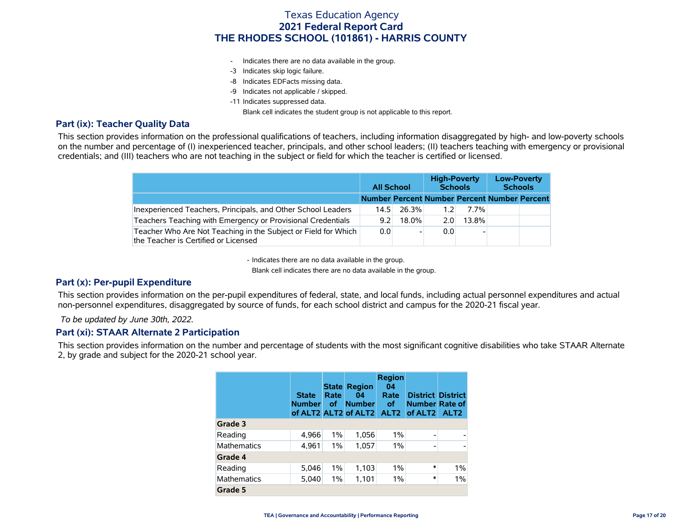- Indicates there are no data available in the group.
- -3 Indicates skip logic failure.
- -8 Indicates EDFacts missing data.
- -9 Indicates not applicable / skipped.
- -11 Indicates suppressed data.

Blank cell indicates the student group is not applicable to this report.

### **Part (ix): Teacher Quality Data**

This section provides information on the professional qualifications of teachers, including information disaggregated by high- and low-poverty schools on the number and percentage of (I) inexperienced teacher, principals, and other school leaders; (II) teachers teaching with emergency or provisional credentials; and (III) teachers who are not teaching in the subject or field for which the teacher is certified or licensed.

|                                                                                                        |                                              | <b>All School</b> |     | <b>High-Poverty</b><br><b>Schools</b> | <b>Low-Poverty</b><br><b>Schools</b> |  |  |
|--------------------------------------------------------------------------------------------------------|----------------------------------------------|-------------------|-----|---------------------------------------|--------------------------------------|--|--|
|                                                                                                        | Number Percent Number Percent Number Percent |                   |     |                                       |                                      |  |  |
| Inexperienced Teachers, Principals, and Other School Leaders                                           | 14.5                                         | -26.3%            | 1.2 | $7.7\%$                               |                                      |  |  |
| Teachers Teaching with Emergency or Provisional Credentials                                            | 9.2                                          | $18.0\%$          | 2.0 | $13.8\%$                              |                                      |  |  |
| Teacher Who Are Not Teaching in the Subject or Field for Which<br>the Teacher is Certified or Licensed | 0.0                                          |                   | 0.0 |                                       |                                      |  |  |

- Indicates there are no data available in the group.

Blank cell indicates there are no data available in the group.

### **Part (x): Per-pupil Expenditure**

This section provides information on the per-pupil expenditures of federal, state, and local funds, including actual personnel expenditures and actual non-personnel expenditures, disaggregated by source of funds, for each school district and campus for the 2020-21 fiscal year.

 *To be updated by June 30th, 2022.*

### **Part (xi): STAAR Alternate 2 Participation**

This section provides information on the number and percentage of students with the most significant cognitive disabilities who take STAAR Alternate 2, by grade and subject for the 2020-21 school year.

|                    | <b>State</b><br><b>Number</b> | <b>State</b><br>Rate<br><b>of</b> | <b>Region</b><br>04<br><b>Number</b> | <b>Region</b><br>04<br>Rate<br>οf | <b>District District</b><br><b>Number Rate of</b><br>of ALT2 ALT2 of ALT2 ALT2 of ALT2 | ALT <sub>2</sub> |
|--------------------|-------------------------------|-----------------------------------|--------------------------------------|-----------------------------------|----------------------------------------------------------------------------------------|------------------|
| Grade 3            |                               |                                   |                                      |                                   |                                                                                        |                  |
| Reading            | 4,966                         | $1\%$                             | 1,056                                | $1\%$                             | $\overline{\phantom{0}}$                                                               |                  |
| <b>Mathematics</b> | 4,961                         | 1%                                | 1,057                                | $1\%$                             | $\overline{\phantom{0}}$                                                               |                  |
| Grade 4            |                               |                                   |                                      |                                   |                                                                                        |                  |
| Reading            | 5,046                         | 1%                                | 1,103                                | $1\%$                             | $\ast$                                                                                 | 1%               |
| <b>Mathematics</b> | 5,040                         | $1\%$                             | 1,101                                | $1\%$                             | $\ast$                                                                                 | 1%               |
| Grade 5            |                               |                                   |                                      |                                   |                                                                                        |                  |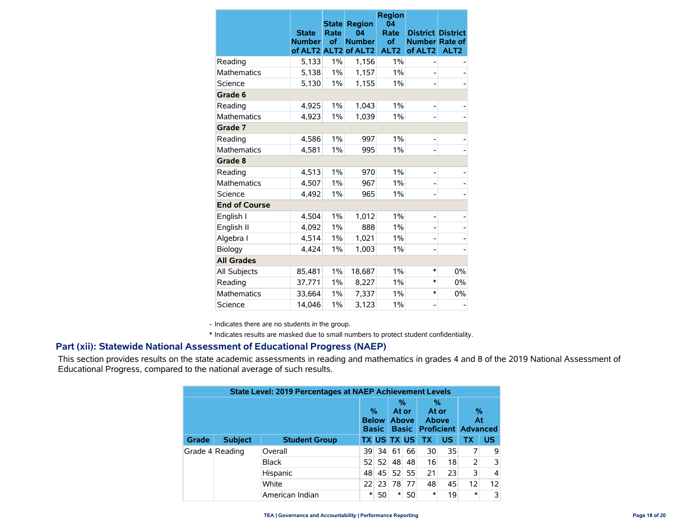|                      | <b>State</b><br><b>Number</b> | Rate<br>of | <b>State Region</b><br>04<br><b>Number</b><br>of ALT2 ALT2 of ALT2 | <b>Region</b><br>04<br>Rate<br>of<br>ALT <sub>2</sub> | <b>District District</b><br><b>Number Rate of</b><br>of ALT <sub>2</sub> | ALT <sub>2</sub> |
|----------------------|-------------------------------|------------|--------------------------------------------------------------------|-------------------------------------------------------|--------------------------------------------------------------------------|------------------|
| Reading              | 5,133                         | 1%         | 1,156                                                              | 1%                                                    |                                                                          |                  |
| <b>Mathematics</b>   | 5,138                         | $1\%$      | 1,157                                                              | 1%                                                    |                                                                          |                  |
| Science              | 5,130                         | 1%         | 1,155                                                              | 1%                                                    |                                                                          |                  |
| Grade 6              |                               |            |                                                                    |                                                       |                                                                          |                  |
| Reading              | 4,925                         | $1\%$      | 1,043                                                              | 1%                                                    |                                                                          |                  |
| <b>Mathematics</b>   | 4,923                         | $1\%$      | 1,039                                                              | $1\%$                                                 |                                                                          |                  |
| Grade 7              |                               |            |                                                                    |                                                       |                                                                          |                  |
| Reading              | 4,586                         | $1\%$      | 997                                                                | 1%                                                    | -                                                                        |                  |
| <b>Mathematics</b>   | 4,581                         | 1%         | 995                                                                | 1%                                                    |                                                                          |                  |
| Grade 8              |                               |            |                                                                    |                                                       |                                                                          |                  |
| Reading              | 4,513                         | 1%         | 970                                                                | $1\%$                                                 |                                                                          |                  |
| <b>Mathematics</b>   | 4,507                         | $1\%$      | 967                                                                | 1%                                                    |                                                                          |                  |
| Science              | 4.492                         | 1%         | 965                                                                | 1%                                                    |                                                                          |                  |
| <b>End of Course</b> |                               |            |                                                                    |                                                       |                                                                          |                  |
| English I            | 4,504                         | $1\%$      | 1,012                                                              | 1%                                                    |                                                                          |                  |
| English II           | 4,092                         | $1\%$      | 888                                                                | 1%                                                    |                                                                          |                  |
| Algebra I            | 4,514                         | $1\%$      | 1,021                                                              | 1%                                                    |                                                                          |                  |
| Biology              | 4.424                         | 1%         | 1,003                                                              | 1%                                                    |                                                                          |                  |
| <b>All Grades</b>    |                               |            |                                                                    |                                                       |                                                                          |                  |
| All Subjects         | 85,481                        | 1%         | 18,687                                                             | 1%                                                    | *                                                                        | $0\%$            |
| Reading              | 37,771                        | $1\%$      | 8,227                                                              | $1\%$                                                 | $\ast$                                                                   | $0\%$            |
| <b>Mathematics</b>   | 33,664                        | $1\%$      | 7,337                                                              | 1%                                                    | $\ast$                                                                   | $0\%$            |
| Science              | 14,046                        | 1%         | 3,123                                                              | 1%                                                    |                                                                          |                  |

- Indicates there are no students in the group.

\* Indicates results are masked due to small numbers to protect student confidentiality.

### **Part (xii): Statewide National Assessment of Educational Progress (NAEP)**

This section provides results on the state academic assessments in reading and mathematics in grades 4 and 8 of the 2019 National Assessment of Educational Progress, compared to the national average of such results.

|       | <b>State Level: 2019 Percentages at NAEP Achievement Levels</b> |                      |                 |                              |                            |    |                     |           |                                             |                   |    |   |   |
|-------|-----------------------------------------------------------------|----------------------|-----------------|------------------------------|----------------------------|----|---------------------|-----------|---------------------------------------------|-------------------|----|---|---|
|       |                                                                 |                      | %               | <b>Below</b><br><b>Basic</b> | %<br>At or<br><b>Above</b> |    | %<br>At or<br>Above |           | %<br>At<br><b>Basic Proficient Advanced</b> |                   |    |   |   |
| Grade | <b>Subject</b>                                                  | <b>Student Group</b> |                 |                              | <b>TX US TX US</b>         |    | ТX                  | <b>US</b> | ТX                                          | <b>US</b>         |    |   |   |
|       | Grade 4 Reading                                                 | Overall              | 39.             | 34                           | 61                         | 66 | 30                  | 35        |                                             | 9                 |    |   |   |
|       |                                                                 |                      |                 |                              | <b>Black</b>               | 52 | 52                  | 48        | 48                                          | 16                | 18 | 2 | 3 |
|       |                                                                 | Hispanic             | 48              | 45                           | 52                         | 55 | 21                  | 23        |                                             | $\vert$           |    |   |   |
|       |                                                                 | White                | 22 <sub>1</sub> | 23                           | 78                         | 77 | 48                  | 45        | 12                                          | $12 \overline{ }$ |    |   |   |
|       |                                                                 | American Indian      | *               | 50                           | $\ast$                     | 50 | $\ast$              | 19        | $\ast$                                      | $\overline{3}$    |    |   |   |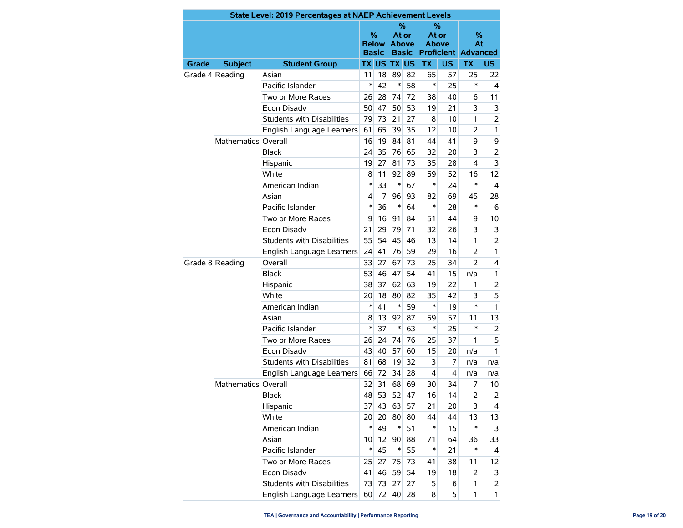|                 | State Level: 2019 Percentages at NAEP Achievement Levels |                                   |                 |                   |                    |                              |                                                 |           |                            |                |  |
|-----------------|----------------------------------------------------------|-----------------------------------|-----------------|-------------------|--------------------|------------------------------|-------------------------------------------------|-----------|----------------------------|----------------|--|
|                 |                                                          |                                   | <b>Basic</b>    | %<br><b>Below</b> | %<br>At or         | <b>Above</b><br><b>Basic</b> | ℅<br>At or<br><b>Above</b><br><b>Proficient</b> |           | %<br>At<br><b>Advanced</b> |                |  |
| <b>Grade</b>    | <b>Subject</b>                                           | <b>Student Group</b>              |                 |                   | <b>TX US TX US</b> |                              | <b>TX</b>                                       | <b>US</b> | <b>TX</b>                  | <b>US</b>      |  |
|                 | Grade 4 Reading                                          | Asian                             | 11              | 18                | 89                 | 82                           | 65                                              | 57        | 25                         | 22             |  |
|                 |                                                          | Pacific Islander                  | $\ast$          | 42                | $\ast$             | 58                           | *                                               | 25        | *                          | 4              |  |
|                 |                                                          | Two or More Races                 | 26              | 28                | 74                 | 72                           | 38                                              | 40        | 6                          | 11             |  |
|                 |                                                          | <b>Econ Disadv</b>                | 50              | 47                | 50                 | 53                           | 19                                              | 21        | 3                          | 3              |  |
|                 |                                                          | <b>Students with Disabilities</b> | 79              | 73                | 21                 | 27                           | 8                                               | 10        | 1                          | $\overline{2}$ |  |
|                 |                                                          | English Language Learners         | 61              | 65                | 39                 | 35                           | 12                                              | 10        | $\overline{2}$             | $\mathbf{1}$   |  |
|                 | Mathematics Overall                                      |                                   | 16              | 19                | 84                 | 81                           | 44                                              | 41        | 9                          | 9              |  |
|                 |                                                          | <b>Black</b>                      | 24              | 35                | 76                 | 65                           | 32                                              | 20        | 3                          | $\overline{2}$ |  |
|                 |                                                          | Hispanic                          | 19              | 27                | 81                 | 73                           | 35                                              | 28        | 4                          | 3              |  |
|                 |                                                          | White                             | 8               | 11                | 92                 | 89                           | 59                                              | 52        | 16                         | 12             |  |
|                 |                                                          | American Indian                   | $\ast$          | 33                | $\ast$             | 67                           | *                                               | 24        | *                          | $\overline{4}$ |  |
|                 |                                                          | Asian                             | 4               | 7                 | 96                 | 93                           | 82                                              | 69        | 45                         | 28             |  |
|                 |                                                          | Pacific Islander                  | $\ast$          | 36                | $\ast$             | 64                           | *                                               | 28        | $\ast$                     | 6              |  |
|                 |                                                          | Two or More Races                 | 9               | 16                | 91                 | 84                           | 51                                              | 44        | 9                          | 10             |  |
|                 |                                                          | <b>Econ Disadv</b>                | 21              | 29                | 79                 | 71                           | 32                                              | 26        | 3                          | 3              |  |
|                 |                                                          | Students with Disabilities        | 55              | 54                | 45                 | 46                           | 13                                              | 14        | 1                          | $\overline{2}$ |  |
|                 |                                                          | English Language Learners         | 24              | 41                | 76                 | 59                           | 29                                              | 16        | $\overline{2}$             | $\mathbf{1}$   |  |
| Grade 8 Reading |                                                          | Overall                           | 33              | 27                | 67                 | 73                           | 25                                              | 34        | $\overline{2}$             | 4              |  |
|                 |                                                          | <b>Black</b>                      |                 | 46                | 47                 | 54                           | 41                                              | 15        | n/a                        | 1              |  |
|                 |                                                          | Hispanic                          | 38              | 37                | 62                 | 63                           | 19                                              | 22        | 1                          | $\overline{2}$ |  |
|                 |                                                          | White                             | 20              | 18                | 80                 | 82                           | 35                                              | 42        | 3                          | 5              |  |
|                 |                                                          | American Indian                   | $\ast$          | 41                | $\ast$             | 59                           | *                                               | 19        | $\ast$                     | $\mathbf{1}$   |  |
|                 |                                                          | Asian                             | 8               | 13                | 92                 | 87                           | 59                                              | 57        | 11                         | 13             |  |
|                 |                                                          | Pacific Islander                  | $\ast$          | 37                | $\ast$             | 63                           | *                                               | 25        | $\ast$                     | $\overline{2}$ |  |
|                 |                                                          | Two or More Races                 | 26              | 24                | 74                 | 76                           | 25                                              | 37        | 1                          | 5              |  |
|                 |                                                          | <b>Econ Disadv</b>                | 43              | 40                | 57                 | 60                           | 15                                              | 20        | n/a                        | 1              |  |
|                 |                                                          | <b>Students with Disabilities</b> | 81              | 68                | 19                 | 32                           | 3                                               | 7         | n/a                        | n/a            |  |
|                 |                                                          | English Language Learners         | 66              | 72                | 34                 | 28                           | 4                                               | 4         | n/a                        | n/a            |  |
|                 | Mathematics Overall                                      |                                   | 32              | 31                | 68                 | 69                           | 30                                              | 34        | 7                          | 10             |  |
|                 |                                                          | Black                             | 48              | 53                | 52                 | 47                           | 16                                              | 14        | 2                          | $\overline{2}$ |  |
|                 |                                                          | Hispanic                          | 37              | 43                | 63                 | 57                           | 21                                              | 20        | 3                          | 4              |  |
|                 |                                                          | White                             | 20 <sup>°</sup> | 20                | 80                 | 80                           | 44                                              | 44        | 13                         | 13             |  |
|                 |                                                          | American Indian                   | $\ast$          | 49                | $\ast$             | 51                           | *                                               | 15        | $\ast$                     | 3              |  |
|                 |                                                          | Asian                             | 10 <sup>°</sup> | 12                | 90                 | 88                           | 71                                              | 64        | 36                         | 33             |  |
|                 |                                                          | Pacific Islander                  | $\ast$          | 45                | $\ast$             | 55                           | $\ast$                                          | 21        | $\ast$                     | 4              |  |
|                 |                                                          | Two or More Races                 | 25              | 27                | 75                 | 73                           | 41                                              | 38        | 11                         | 12             |  |
|                 |                                                          | Econ Disadv                       | 41              | 46                | 59                 | 54                           | 19                                              | 18        | 2                          | 3              |  |
|                 |                                                          | <b>Students with Disabilities</b> | 73              | 73                | 27                 | 27                           | 5                                               | 6         | 1                          | $\overline{2}$ |  |
|                 |                                                          | English Language Learners         | 60              | 72                | 40                 | 28                           | 8                                               | 5         | 1                          | $\mathbf{1}$   |  |